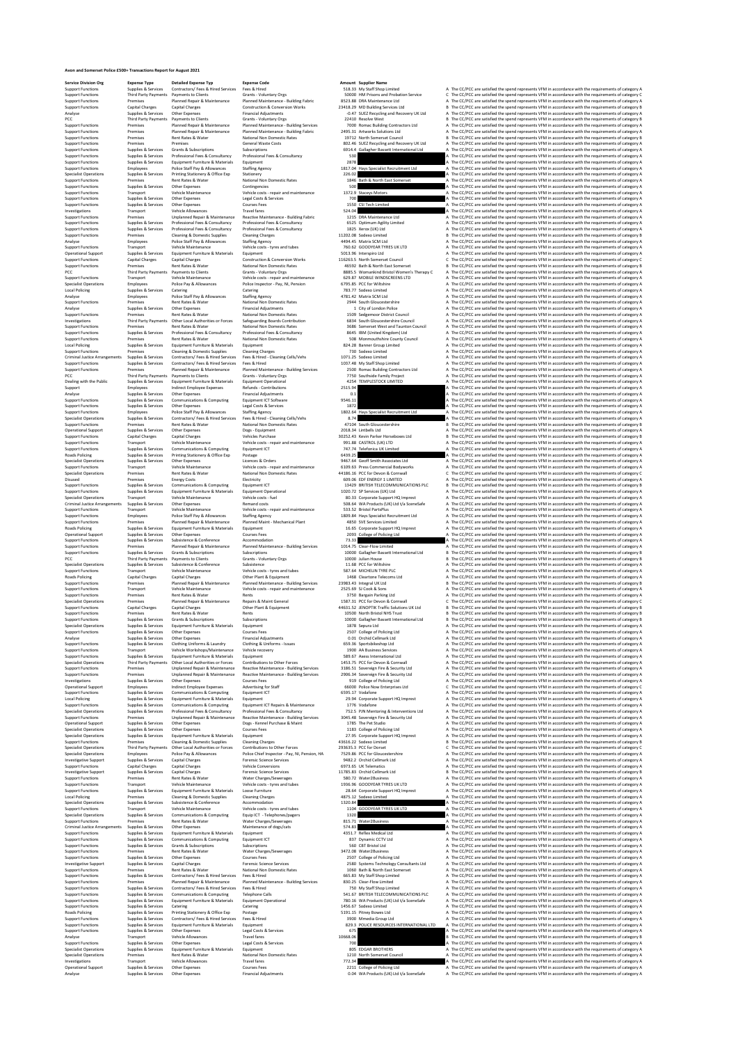## **Avon and Somerset Police £500+ Transactions Report for August 2021**

**Service Division Org**<br> **Support Functions** Suppliers & Services Contractors/Tees & Hires Services Free & Hires (Services Contractors)<br>
Support Functions Premiers (Services Contractors) Contractors (Service Services Contra

 $\textsc{Supoint, Dary Dayment, to be a 22410 seconds. A series. \textsc{Supoint, Dary Dayner, and Dary Dayner, and Dary Dayner, and Dary Dayner, and Dary Dayner. \textsc{Supoint, Dary Dayner. \textsc{Supoint, Dary Dayner. \textsc{Supoint, Dary Dayner. \textsc{Supoint, Dary Dayner. \textsc{Supoint, Dary Dayner. \textsc{Supoint, Dary Dayner. \textsc{Supoint, Dary Dayner. \textsc{Supoint, Dary Dayner. \textsc{Supoint, Dary Dayner. \textsc{Supoint, Dary Dayner. \textsc{Supoint, Dary Day$ Specialist Operations Supplies & Services Printing Stationery & Office Exp Stationery 226.02 A The CC/PCC are satisfied the spend represents VFM in accordance with the requirements of category A Support Functions Premises Rent Rates & Water National Non Domestic Rates 1846 Bath & North East Somerset A The CC/PCC are satisfied the spend represents VFM in accordance with the requirements of category A Support Functions Supplies & Services Other Expenses Contingencies 500 A The CC/PCC are satisfied the spend represents VFM in accordance with the requirements of category A Support Functions Transport Vehicle Maintenance Vehicle costs - repair and maintenance 1372.9 Staceys Motors A The CC/PCC are satisfied the spend represents VFM in accordance with the requirements of category A Support Functions Supplies & Services Other Expenses Legal Costs & Services 700 A The CC/PCC are satisfied the spend represents VFM in accordance with the requirements of category A Support Functions Supplies & Services Other Expenses Courses Fees 1550 CSI Tech Limited A The CC/PCC are satisfied the spend represents VFM in accordance with the requirements of category A Investigations Transport Vehicle Allowances Travel fares 524.04 A The CC/PCC are satisfied the spend represents VFM in accordance with the requirements of category A Support Functions Premises Unplanned Repair & Maintenance Reactive Maintenance - Building Fabric 1215 DRA Maintenance Ltd A The CC/PCC are satisfied the spend represents VFM in accordance with the requirements of category A Support Functions Supplies & Services Professional Fees & Consultancy Professional Fees & Consultancy 6525 Optimum Agility Limited A The CC/PCC are satisfied the spend represents VFM in accordance with the requirements of category A Support Functions Supplies & Services Professional Fees & Consultancy Professional Fees & Consultancy 1825 Xerox (UK) Ltd A The CC/PCC are satisfied the spend represents VFM in accordance with the requirements of category A Support Functions Premises Cleaning & Domestic Supplies Cleaning Charges 11202.08 Sodexo Limited B The CC/PCC are satisfied the spend represents VFM in accordance with the requirements of category B Analyse Employees Police Staff Pay & Allowances Staffing Agency 4494.45 Matrix SCM Ltd A The CC/PCC are satisfied the spend represents VFM in accordance with the requirements of category A Support Functions Transport Vehicle Maintenance Vehicle costs - tyres and tubes 760.62 GOODYEAR TYRES UK LTD A The CC/PCC are satisfied the spend represents VFM in accordance with the requirements of category A Operational Support Supplies & Services Equipment Furniture & Materials Equipment 5013.96 Interspiro Ltd A The CC/PCC are satisfied the spend represents VFM in accordance with the requirements of category A Support Functions Capital Charges Capital Charges Construction & Conversion Works 116263.5 North Somerset Council C The CC/PCC are satisfied the spend represents VFM in accordance with the requirements of category C Support Functions Premises Rent Rates & Water National Non Domestic Rates 46592 Bath & North East Somerset B The CC/PCC are satisfied the spend represents VFM in accordance with the requirements of category B PCC Third Party Payments Payments to Clients Grants - Voluntary Orgs 8885.5 Womankind Bristol Women's Therapy C A The CC/PCC are satisfied the spend represents VFM in accordance with the requirements of category A Support Functions Transport Vehicle Maintenance Vehicle costs - repair and maintenance 629.87 MOBILE WINDSCREENS LTD A The CC/PCC are satisfied the spend represents VFM in accordance with the requirements of category A Specialist Operations Employees Police Pay & Allowances Police Inspector - Pay, NI, Pension 6795.85 PCC for Wiltshire A The CC/PCC are satisfied the spend represents VFM in accordance with the requirements of category A Local Policing Supplies & Services Catering Catering 783.77 Sodexo Limited A The CC/PCC are satisfied the spend represents VFM in accordance with the requirements of category A Analyse Employees Police Staff Pay & Allowances Staffing Agency 4781.42 Matrix SCM Ltd A The CC/PCC are satisfied the spend represents VFM in accordance with the requirements of category A Support Functions Premises Rent Rates & Water National Non Domestic Rates 2944 South Gloucestershire A The CC/PCC are satisfied the spend represents VFM in accordance with the requirements of category A Analyse Supplies & Services Other Expenses Financial Adjustments 1 City of London Police A The CC/PCC are satisfied the spend represents VFM in accordance with the requirements of category A Support Functions Premises Rent Rates & Water National Non Domestic Rates 1509 Sedgemoor District Council A The CC/PCC are satisfied the spend represents VFM in accordance with the requirements of category A Investigations Third Party Payments Other Local Authorities or Forces Safeguarding Boards Contribution 6834 South Gloucestershire Council A The CC/PCC are satisfied the spend represents VFM in accordance with the requirements of category A Support Functions Premises Rent Rates & Water National Non Domestic Rates 3686 Somerset West and Taunton Council A The CC/PCC are satisfied the spend represents VFM in accordance with the requirements of category A Support Functions Supplies & Services Professional Fees & Consultancy Professional Fees & Consultancy 8645 IBM (United Kingdom) Ltd A The CC/PCC are satisfied the spend represents VFM in accordance with the requirements of category A Support Functions Premises Rent Rates & Water National Non Domestic Rates 508 Monmouthshire County Council A The CC/PCC are satisfied the spend represents VFM in accordance with the requirements of category A Local Policing Supplies & Services Equipment Furniture & Materials Equipment 824.28 Banner Group Limited A The CC/PCC are satisfied the spend represents VFM in accordance with the requirements of category A Support Functions Premises Cleaning & Domestic Supplies Cleaning Charges 730 Sodexo Limited A The CC/PCC are satisfied the spend represents VFM in accordance with the requirements of category A Criminal Justice Arrangements Supplies & Services Contractors/ Fees & Hired Services Fees & Hired - Cleaning Cells/Vehs 1071.25 Sodexo Limited A The CC/PCC are satisfied the spend represents VFM in accordance with the requirements of category A Support Functions Supplies & Services Contractors/ Fees & Hired Services Fees & Hired 1037.48 My Staff Shop Limited A The CC/PCC are satisfied the spend represents VFM in accordance with the requirements of category A Support Functions Premises Planned Repair & Maintenance Planned Maintenance - Building Services 2500 Romac Building Contractors Ltd A The CC/PCC are satisfied the spend represents VFM in accordance with the requirements of category A PCC Third Party Payments Payments to Clients Grants - Voluntary Orgs 7750 Southside Family Project A The CC/PCC are satisfied the spend represents VFM in accordance with the requirements of category A Dealing with the Public Supplies & Services Equipment Furniture & Materials Equipment Operational 4254 TEMPLESTOCK LIMITED A The CC/PCC are satisfied the spend represents VFM in accordance with the requirements of category A Support Employees Indirect Employee Expenses Refunds - Contributions 2515.94 A The CC/PCC are satisfied the spend represents VFM in accordance with the requirements of category A Analyse Supplies & Services Other Expenses Financial Adjustments 0.1 A The CC/PCC are satisfied the spend represents VFM in accordance with the requirements of category A Support Functions Supplies & Services Communications & Computing Equipment ICT Software 9546.11 A The CC/PCC are satisfied the spend represents VFM in accordance with the requirements of category A Support Functions Supplies & Services Other Expenses Legal Costs & Services 1872 A The CC/PCC are satisfied the spend represents VFM in accordance with the requirements of category A Support Functions Employees Police Staff Pay & Allowances Staffing Agency 1802.64 Hays Specialist Recruitment Ltd A The CC/PCC are satisfied the spend represents VFM in accordance with the requirements of category A Specialist Operations Supplies & Services Contractors/ Fees & Hired Services Fees & Hired - Cleaning Cells/Vehs 8.74 A The CC/PCC are satisfied the spend represents VFM in accordance with the requirements of category A Support Functions Premises Rent Rates & Water National Non Domestic Rates 47104 South Gloucestershire B The CC/PCC are satisfied the spend represents VFM in accordance with the requirements of category B Operational Support Supplies & Services Other Expenses Dogs - Equipment 2018.34 Lintbells Ltd A The CC/PCC are satisfied the spend represents VFM in accordance with the requirements of category A Support Functions Capital Charges Capital Charges Vehicles Purchase 30252.43 Kevin Parker Horseboxes Ltd B The CC/PCC are satisfied the spend represents VFM in accordance with the requirements of category B Support Functions Transport Vehicle Maintenance Vehicle costs - repair and maintenance 991.88 CASTROL (UK) LTD A The CC/PCC are satisfied the spend represents VFM in accordance with the requirements of category A Support Functions Supplies & Services Communications & Computing Equipment ICT 747.74 Telefonica UK Limited A The CC/PCC are satisfied the spend represents VFM in accordance with the requirements of category A Roads Policing Supplies & Services Printing Stationery & Office Exp Postage 6439.25 A The CC/PCC are satisfied the spend represents VFM in accordance with the requirements of category A Specialist Operations Supplies & Services Other Expenses Licences & Orders 9467.64 Geoff Smith Associates Ltd A The CC/PCC are satisfied the spend represents VFM in accordance with the requirements of category A Support Functions Transport Vehicle Maintenance Vehicle costs - repair and maintenance 6109.63 Press Commercial Bodyworks A The CC/PCC are satisfied the spend represents VFM in accordance with the requirements of category A Specialist Operations Premises Rent Rates & Water National Non Domestic Rates 44186.16 PCC for Devon & Cornwall C The CC/PCC are satisfied the spend represents VFM in accordance with the requirements of category C Disupper Evering Constitutions (and Franchischering Equipment CT<br>
Supper Every Constant & Computing Equipment CT<br>
Supper Equipment Constant Constant Constant Constant Constant Constant Constant Constant Constant Constant Specialist Department of the Specialistic of the Specialistics of the CONC and the experiment of the companies of the companies of the companies of the companies of the companies of the companies of the companies of the co Support Functions Transport Vehicle Maintenance Vehicle costs - repair and maintenance 2525.69 SJ Cook & Sons A The CC/PCC are satisfied the spend represents VFM in accordance with the requirements of category A Support Functions Premises Rent Rates & Water Rents 3750 Bargain Parking Ltd A The CC/PCC are satisfied the spend represents VFM in accordance with the requirements of category A Specialist Operations Premises Planned Repair & Maintenance Repairs & Maint General 1587.31 PCC for Devon & Cornwall C The CC/PCC are satisfied the spend represents VFM in accordance with the requirements of category C Support Functions Capital Charges Capital Charges Other Plant & Equipment 44631.52 JENOPTIK Traffic Solutions UK Ltd B The CC/PCC are satisfied the spend represents VFM in accordance with the requirements of category B Support Functions Premises Rent Rates & Water Rents 10500 North Bristol NHS Trust B The CC/PCC are satisfied the spend represents VFM in accordance with the requirements of category B Support Functions Supplies & Services Grants & Subscriptions Subscriptions 10000 Gallagher Bassett International Ltd B The CC/PCC are satisfied the spend represents VFM in accordance with the requirements of category B Specialist Operations Supplies & Services Equipment Furniture & Materials Equipment 1878 Sepura Ltd A The CC/PCC are satisfied the spend represents VFM in accordance with the requirements of category A Support Functions Supplies & Services Other Expenses Courses Fees 2507 College of Policing Ltd A The CC/PCC are satisfied the spend represents VFM in accordance with the requirements of category A Analyse Supplies & Services Other Expenses Financial Adjustments 0.01 Orchid Cellmark Ltd A The CC/PCC are satisfied the spend represents VFM in accordance with the requirements of category A Support Functions Supplies & Services Clothing Uniforms & Laundry Clothing & Uniforms - Issues 659.36 Sportsbikeshop Ltd A The CC/PCC are satisfied the spend represents VFM in accordance with the requirements of category A Support Functions Transport Vehicle Workshops/Maintenance Vehicle recovery 1900 AA Business Services A The CC/PCC are satisfied the spend represents VFM in accordance with the requirements of category A Support Functions Supplies & Services Equipment Furniture & Materials Equipment 589.67 Axess International Ltd A The CC/PCC are satisfied the spend represents VFM in accordance with the requirements of category A Specialist Operations Third Party Payments Other Local Authorities or Forces Contributions to Other Forces 1453.75 PCC for Devon & Cornwall A The CC/PCC are satisfied the spend represents VFM in accordance with the requirements of category A Support Functions Premises Unplanned Repair & Maintenance Reactive Maintenance - Building Services 3186.51 Sovereign Fire & Security Ltd A The CC/PCC are satisfied the spend represents VFM in accordance with the requirements of category A Support Functions Premises Unplanned Repair & Maintenance Reactive Maintenance - Building Services 2906.34 Sovereign Fire & Security Ltd A The CC/PCC are satisfied the spend represents VFM in accordance with the requirements of category A Investigations Supplies & Services Other Expenses Courses Fees 919 College of Policing Ltd A The CC/PCC are satisfied the spend represents VFM in accordance with the requirements of category A Operational Support Employees Indirect Employee Expenses Advertising for Staff 66000 Police Now Enterprises Ltd C The CC/PCC are satisfied the spend represents VFM in accordance with the requirements of category C Support Functions Supplies & Services Communications & Computing Equipment ICT 6595.17 Vodafone A The CC/PCC are satisfied the spend represents VFM in accordance with the requirements of category A Local Policing Supplies & Services Equipment Furniture & Materials Equipment 29.94 Corporate Support HQ Imprest A The CC/PCC are satisfied the spend represents VFM in accordance with the requirements of category A Support Functions Supplies & Services Communications & Computing Equipment ICT Repairs & Maintenance 1776 Vodafone A The CC/PCC are satisfied the spend represents VFM in accordance with the requirements of category A Specialist Operations Supplies & Services Professional Fees & Consultancy Professional Fees & Consultancy 752.5 PJN Mentoring & Interventions Ltd A The CC/PCC are satisfied the spend represents VFM in accordance with the requirements of category A Support Functions Premises Unplanned Repair & Maintenance Reactive Maintenance - Building Services 3045.48 Sovereign Fire & Security Ltd A The CC/PCC are satisfied the spend represents VFM in accordance with the requirements of category A Operational Support Supplies & Services Other Expenses Dogs - Kennel Purchase & Maint 1785 The Pet Studio A The CC/PCC are satisfied the spend represents VFM in accordance with the requirements of category A Specialist Operations Supplies & Services Other Expenses Courses Fees 1183 College of Policing Ltd A The CC/PCC are satisfied the spend represents VFM in accordance with the requirements of category A Specialist Operations Supplies & Services Equipment Furniture & Materials Equipment 27.95 Corporate Support HQ Imprest A The CC/PCC are satisfied the spend represents VFM in accordance with the requirements of category A Support Functions Premises Cleaning & Domestic Supplies Cleaning Charges 43616.22 Sodexo Limited B The CC/PCC are satisfied the spend represents VFM in accordance with the requirements of category B Specialist Operations Third Party Payments Other Local Authorities or Forces Contributions to Other Forces 293635.3 PCC for Dorset C The CC/PCC are satisfied the spend represents VFM in accordance with the requirements of category C Specialist Operations Employees Police Pay & Allowances Police Chief Inspector - Pay, NI, Pension, HA 7529.86 PCC for Gloucestershire A The CC/PCC are satisfied the spend represents VFM in accordance with the requirements of category A Investigative Support Supplies & Services Capital Charges Forensic Science Services 9482.2 Orchid Cellmark Ltd A The CC/PCC are satisfied the spend represents VFM in accordance with the requirements of category A Support Functions Capital Charges Capital Charges Vehicle Conversions 6973.65 UK Telematics A The CC/PCC are satisfied the spend represents VFM in accordance with the requirements of category A Investigative Support Supplies & Services Capital Charges Forensic Science Services 11785.83 Orchid Cellmark Ltd B The CC/PCC are satisfied the spend represents VFM in accordance with the requirements of category B Support Functions Premises Rent Rates & Water Water Charges/Sewerages 580.72 Water2Business A The CC/PCC are satisfied the spend represents VFM in accordance with the requirements of category A Support Functions Transport Vehicle Maintenance Vehicle costs - tyres and tubes 1936.96 GOODYEAR TYRES UK LTD A The CC/PCC are satisfied the spend represents VFM in accordance with the requirements of category A Support Functions Supplies & Services Equipment Furniture & Materials Loose Furniture 28.64 Corporate Support HQ Imprest A The CC/PCC are satisfied the spend represents VFM in accordance with the requirements of category A Local Policing Premises Cleaning & Domestic Supplies Cleaning Charges 4875.12 Sodexo Limited A The CC/PCC are satisfied the spend represents VFM in accordance with the requirements of category A Specialist Operations Supplies & Services Subsistence & Conference Accommodation 1320.84 A The CC/PCC are satisfied the spend represents VFM in accordance with the requirements of category A Support Functions Transport Vehicle Maintenance Vehicle costs - tyres and tubes 1104 GOODYEAR TYRES UK LTD A The CC/PCC are satisfied the spend represents VFM in accordance with the requirements of category A Specialist Operations Supplies & Services Communications & Computing Equip ICT - Telephones/pagers 1320 A The CC/PCC are satisfied the spend represents VFM in accordance with the requirements of category A Support Functions Premises Rent Rates & Water Water Charges/Sewerages 815.71 Water2Business A The CC/PCC are satisfied the spend represents VFM in accordance with the requirements of category A Criminal Justice Arrangements Supplies & Services Other Expenses Maintenance of dogs/cats 574.83 A The CC/PCC are satisfied the spend represents VFM in accordance with the requirements of category A Support Functions Supplies & Services Equipment Furniture & Materials Equipment 4351.7 Reflex Medical Ltd A The CC/PCC are satisfied the spend represents VFM in accordance with the requirements of category A Support Functions Supplies & Services Communications & Computing Equipment ICT 837 Dynamic CCTV Ltd A The CC/PCC are satisfied the spend represents VFM in accordance with the requirements of category A Support Functions Supplies & Services Grants & Subscriptions Subscriptions 560 CBT Bristol Ltd A The CC/PCC are satisfied the spend represents VFM in accordance with the requirements of category A Support Functions Premises Rent Rates & Water Water Charges/Sewerages 3472.08 Water2Business A The CC/PCC are satisfied the spend represents VFM in accordance with the requirements of category A Support Functions Supplies & Services Other Expenses Courses Fees 2507 College of Policing Ltd A The CC/PCC are satisfied the spend represents VFM in accordance with the requirements of category A Investigative Support Supplies & Services Capital Charges Forensic Science Services 2580 Systems Technology Consultants Ltd A The CC/PCC are satisfied the spend represents VFM in accordance with the requirements of category A Support Functions Premises Rent Rates & Water National Non Domestic Rates 1060 Bath & North East Somerset A The CC/PCC are satisfied the spend represents VFM in accordance with the requirements of category A Support Functions Supplies & Services Contractors/ Fees & Hired Services Fees & Hired 665.83 My Staff Shop Limited A The CC/PCC are satisfied the spend represents VFM in accordance with the requirements of category A Support Functions Premises Planned Repair & Maintenance Planned Maintenance - Building Services 830.25 Clear-Flow Limited A The CC/PCC are satisfied the spend represents VFM in accordance with the requirements of category A Support Functions Supplies & Services Contractors/ Fees & Hired Services Fees & Hired 750 My Staff Shop Limited A The CC/PCC are satisfied the spend represents VFM in accordance with the requirements of category A Support Functions Supplies & Services Communications & Computing Telephone Calls 541.67 BRITISH TELECOMMUNICATIONS PLC A The CC/PCC are satisfied the spend represents VFM in accordance with the requirements of category A Support Functions Supplies & Services Equipment Furniture & Materials Equipment Operational 780.16 WA Products (UK) Ltd t/a SceneSafe A The CC/PCC are satisfied the spend represents VFM in accordance with the requirements of category A Support Functions Supplies & Services Catering Catering 1456.67 Sodexo Limited A The CC/PCC are satisfied the spend represents VFM in accordance with the requirements of category A Roads Policing Supplies & Services Printing Stationery & Office Exp Postage 5191.15 Pitney Bowes Ltd A The CC/PCC are satisfied the spend represents VFM in accordance with the requirements of category A Support Functions Supplies & Services Contractors/ Fees & Hired Services Fees & Hired 3900 Mmedia Group Ltd A The CC/PCC are satisfied the spend represents VFM in accordance with the requirements of category A Support Functions Supplies & Services Equipment Furniture & Materials Equipment 829.3 POLICE RESOURCES INTERNATIONAL LTD A The CC/PCC are satisfied the spend represents VFM in accordance with the requirements of category A Support Franchoot Supplies & Services (1990) (1990) (1990) (1990) (1990) (1990) (1990) (1990) (1990) (1990) (1990) (1990) (1990) (1990) (1990) (1990) (1990) (1990) (1990) (1990) (1990) (1990) (1990) (1990) (1990) (1990) (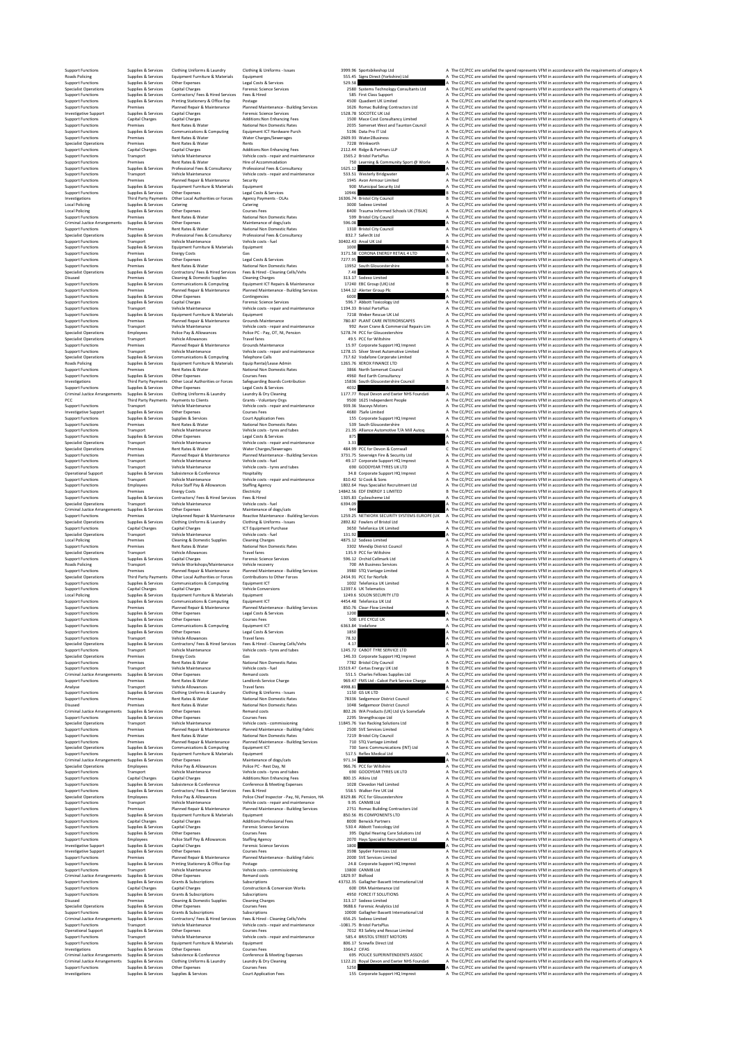%Support murdions (while the United Support Companies United Support Support American Support Media Media Support Media Support Media Support Media Support Media Support Media Support Media Support Americans of the United Species Arevies Contractory Fees & Hired Secrets Contractory (esseles and Secrets Contractory Consultance Secrets Contractory (esseles areas of the Contractory of the Contractory of the Contractory of the Contractory of th Support Functions Transport Vehicle Maintenance Vehicle costs - repair and maintenance 533.51 Westerly Bridgwater A The CC/PCC are satisfied the spend represents VFM in accordance with the requirements of category A Support Functions Premises Planned Repair & Maintenance Security 1945 Avon Armour Limited A The CC/PCC are satisfied the spend represents VFM in accordance with the requirements of category A Support Functions Supplies & Services Equipment Furniture & Materials Equipment 900 Municipal Security Ltd A The CC/PCC are satisfied the spend represents VFM in accordance with the requirements of category A Support Functions Supplies & Services Other Expenses Legal Costs & Services 10946 B The CC/PCC are satisfied the spend represents VFM in accordance with the requirements of category B Investigations Third Party Payments Other Local Authorities or Forces Agency Payments - OLAs 16306.74 Bristol City Council B The CC/PCC are satisfied the spend represents VFM in accordance with the requirements of category B Local Policing Supplies & Services Catering Catering 3000 Sodexo Limited A The CC/PCC are satisfied the spend represents VFM in accordance with the requirements of category A Local Policing Supplies & Services Other Expenses Courses Fees 8400 Trauma Informed Schools UK (TISUK) A The CC/PCC are satisfied the spend represents VFM in accordance with the requirements of category A Support Functions Premises Rent Rates & Water National Non Domestic Rates 599 Bristol City Council A The CC/PCC are satisfied the spend represents VFM in accordance with the requirements of category A Criminal Justice Arrangements Supplies & Services Other Expenses Maintenance of dogs/cats 596.08 A The CC/PCC are satisfied the spend represents VFM in accordance with the requirements of category A Support Functions Premises Rent Rates & Water National Non Domestic Rates 1310 Bristol City Council A The CC/PCC are satisfied the spend represents VFM in accordance with the requirements of category A Specialist Operations Supplies & Services Professional Fees & Consultancy Professional Fees & Consultancy 832.7 Safen3t Ltd A The CC/PCC are satisfied the spend represents VFM in accordance with the requirements of category A Support Functions Transport Vehicle Maintenance Vehicle costs - fuel 30402.43 Arval UK Ltd B The CC/PCC are satisfied the spend represents VFM in accordance with the requirements of category B Support Functions Supplies & Services Equipment Furniture & Materials Equipment 1000 A The CC/PCC are satisfied the spend represents VFM in accordance with the requirements of category A Support Functions Premises Energy Costs Gas 3171.58 CORONA ENERGY RETAIL 4 LTD A The CC/PCC are satisfied the spend represents VFM in accordance with the requirements of category A Support Functions Supplies & Services Other Expenses Legal Costs & Services 7277.95 A The CC/PCC are satisfied the spend represents VFM in accordance with the requirements of category A Support Functions Premises Rent Rates & Water National Non Domestic Rates 13952 South Gloucestershire B The CC/PCC are satisfied the spend represents VFM in accordance with the requirements of category B Specialist Operations Supplies & Services Contractors/ Fees & Hired Services Fees & Hired - Cleaning Cells/Vehs 7.48 A The CC/PCC are satisfied the spend represents VFM in accordance with the requirements of category A Disused Premises Cleaning & Domestic Supplies Cleaning Charges 313.17 Sodexo Limited B The CC/PCC are satisfied the spend represents VFM in accordance with the requirements of category B Support Functions Supplies & Services Communications & Computing Equipment ICT Repairs & Maintenance 17240 EBC Group (UK) Ltd B The CC/PCC are satisfied the spend represents VFM in accordance with the requirements of category B Support Functions Premises Planned Repair & Maintenance Planned Maintenance - Building Services 1344.12 Alerter Group Plc A The CC/PCC are satisfied the spend represents VFM in accordance with the requirements of category A Support Functions Supplies & Services Other Expenses Contingencies 6000 A The CC/PCC are satisfied the spend represents VFM in accordance with the requirements of category A Support Functions Supplies & Services Capital Charges Forensic Science Services 596.7 Abbott Toxicology Ltd A The CC/PCC are satisfied the spend represents VFM in accordance with the requirements of category A Support Functions Transport Vehicle Maintenance Vehicle costs - repair and maintenance 1194.33 Bristol PartsPlus A The CC/PCC are satisfied the spend represents VFM in accordance with the requirements of category A Support Functions Supplies & Services Equipment Furniture & Materials Equipment 7218 Weber Rescue UK Ltd A The CC/PCC are satisfied the spend represents VFM in accordance with the requirements of category A Support Functions Premises Planned Repair & Maintenance Grounds Maintenance 780.87 PLANT CARE INTERIORSCAPES A The CC/PCC are satisfied the spend represents VFM in accordance with the requirements of category A Support Functions Transport Vehicle Maintenance Vehicle costs - repair and maintenance 992 Avon Crane & Commercial Repairs Lim A The CC/PCC are satisfied the spend represents VFM in accordance with the requirements of category A Specialist Operations Employees Police Pay & Allowances Police PC - Pay, OT, NI, Pension 5278.74 PCC for Gloucestershire A The CC/PCC are satisfied the spend represents VFM in accordance with the requirements of category A Specialist Operations Transport Vehicle Allowances Travel fares 49.5 PCC for Wiltshire A The CC/PCC are satisfied the spend represents VFM in accordance with the requirements of category A Support Functions Premises Planned Repair & Maintenance Grounds Maintenance 15.97 Corporate Support HQ Imprest A The CC/PCC are satisfied the spend represents VFM in accordance with the requirements of category A Support Functions Transport Vehicle Maintenance Vehicle costs - repair and maintenance 1278.15 Silver Street Automotive Limited A The CC/PCC are satisfied the spend represents VFM in accordance with the requirements of category A Specialist Operations Supplies & Services Communications & Computing Telephone Calls 717.62 Vodafone Corporate Limited A The CC/PCC are satisfied the spend represents VFM in accordance with the requirements of category A Roads Policing Supplies & Services Equipment Furniture & Materials Equip Rental/Lease Admin 1265.76 XEROX FINANCE LTD A The CC/PCC are satisfied the spend represents VFM in accordance with the requirements of category A Support Functions Premises Rent Rates & Water National Non Domestic Rates 3866 North Somerset Council A The CC/PCC are satisfied the spend represents VFM in accordance with the requirements of category A Support Functions Supplies & Services Other Expenses Courses Fees 4960 Red Earth Consultancy A The CC/PCC are satisfied the spend represents VFM in accordance with the requirements of category A Investigations Third Party Payments Other Local Authorities or Forces Safeguarding Boards Contribution 15836 South Gloucestershire Council B The CC/PCC are satisfied the spend represents VFM in accordance with the requirements of category B Support Functions Supplies & Services Other Expenses Legal Costs & Services 4032 A The CC/PCC are satisfied the spend represents VFM in accordance with the requirements of category A Criminal Justice Arrangements Supplies & Services Clothing Uniforms & Laundry Laundry & Dry Cleaning 1177.77 Royal Devon and Exeter NHS Foundati A The CC/PCC are satisfied the spend represents VFM in accordance with the requirements of category A PCC Third Party Payments Payments to Clients Grants - Voluntary Orgs 9500 1625 Independent People A The CC/PCC are satisfied the spend represents VFM in accordance with the requirements of category A Support Functions Transport Vehicle Maintenance Vehicle costs - repair and maintenance 939.36 Staceys Motors A The CC/PCC are satisfied the spend represents VFM in accordance with the requirements of category A Investigative Support Supplies & Services Other Expenses Courses Fees 4680 7Safe Limited A The CC/PCC are satisfied the spend represents VFM in accordance with the requirements of category A Support Functions Supplies & Services Supplies & Services Court Application Fees 155 Corporate Support HQ Imprest A The CC/PCC are satisfied the spend represents VFM in accordance with the requirements of category A Support Functions Premises Rent Rates & Water National Non Domestic Rates 539 South Gloucestershire A The CC/PCC are satisfied the spend represents VFM in accordance with the requirements of category A Support Functions Transport Vehicle Maintenance Vehicle costs - tyres and tubes 21.35 Alliance Automotive T/A Mill Autoq A The CC/PCC are satisfied the spend represents VFM in accordance with the requirements of category A Support Functions Supplies & Services Other Expenses Legal Costs & Services 875 A The CC/PCC are satisfied the spend represents VFM in accordance with the requirements of category A Specialist Operations Transport Vehicle Maintenance Vehicle costs - repair and maintenance 3.33 A The CC/PCC are satisfied the spend represents VFM in accordance with the requirements of category A Specialist Operations Premises Rent Rates & Water Water Charges/Sewerages 484.99 PCC for Devon & Cornwall C The CC/PCC are satisfied the spend represents VFM in accordance with the requirements of category C Support Functions Premises Planned Repair & Maintenance Planned Maintenance - Building Services 3731.75 Sovereign Fire & Security Ltd A The CC/PCC are satisfied the spend represents VFM in accordance with the requirements of category A Support Functions Transport Vehicle Maintenance Vehicle costs - fuel 49.17 Corporate Support HQ Imprest A The CC/PCC are satisfied the spend represents VFM in accordance with the requirements of category A Support Functions Transport Vehicle Maintenance Vehicle costs - tyres and tubes 690 GOODYEAR TYRES UK LTD A The CC/PCC are satisfied the spend represents VFM in accordance with the requirements of category A Operational Support Supplies & Services Subsistence & Conference Hospitality 34.8 Corporate Support HQ Imprest A The CC/PCC are satisfied the spend represents VFM in accordance with the requirements of category A Support Functions Transport Vehicle Maintenance Vehicle costs - repair and maintenance 810.42 SJ Cook & Sons A The CC/PCC are satisfied the spend represents VFM in accordance with the requirements of category A Support Functions Employees Police Staff Pay & Allowances Staffing Agency 1802.64 Hays Specialist Recruitment Ltd A The CC/PCC are satisfied the spend represents VFM in accordance with the requirements of category A Support Functions Premises Energy Costs Electricity 14842.56 EDF ENERGY 1 LIMITED B The CC/PCC are satisfied the spend represents VFM in accordance with the requirements of category B Support Functions Supplies & Services Contractors/ Fees & Hired Services Fees & Hired 1305.83 Cyclescheme Ltd A The CC/PCC are satisfied the spend represents VFM in accordance with the requirements of category A Specialist Operations Transport Vehicle Maintenance Vehicle costs - fuel 6394.09 A The CC/PCC are satisfied the spend represents VFM in accordance with the requirements of category A Criminal Justice Arrangements Supplies & Services Other Expenses Maintenance of dogs/cats 944 A The CC/PCC are satisfied the spend represents VFM in accordance with the requirements of category A Support Functions Premises Unplanned Repair & Maintenance Reactive Maintenance - Building Services 1259.25 NETWORK SECURITY SYSTEMS EUROPE (UK A The CC/PCC are satisfied the spend represents VFM in accordance with the requirements of category A Specialist Operations Supplies & Services Clothing Uniforms & Laundry Clothing & Uniforms - Issues 2892.82 Fowlers of Bristol Ltd A The CC/PCC are satisfied the spend represents VFM in accordance with the requirements of category A Support Functions Capital Charges Capital Charges ICT Equipment Purchase 3650 Telefonica UK Limited A The CC/PCC are satisfied the spend represents VFM in accordance with the requirements of category A Specialist Operations Transport Vehicle Maintenance Vehicle costs - fuel 131.92 A The CC/PCC are satisfied the spend represents VFM in accordance with the requirements of category A Local Policing Premises Cleaning & Domestic Supplies Cleaning Charges 4875.12 Sodexo Limited A The CC/PCC are satisfied the spend represents VFM in accordance with the requirements of category A Support Functions Premises Rent Rates & Water National Non Domestic Rates 3302 Mendip District Council A The CC/PCC are satisfied the spend represents VFM in accordance with the requirements of category A Specialist Operations Transport Vehicle Allowances Travel fares 135.9 PCC for Wiltshire A The CC/PCC are satisfied the spend represents VFM in accordance with the requirements of category A Support Functions Supplies & Services Capital Charges Forensic Science Services 596.12 Orchid Cellmark Ltd A The CC/PCC are satisfied the spend represents VFM in accordance with the requirements of category A Routing Transport Vehicle Vehicle (Vehicle And Market and Market And Market And Market And Market And Market And Market And Market And Market And Market And Market And Market And Market And Market And Market And Market And Support Functions Capital Charges Capital Charges Vehicle Conversions 12397.6 UK Telematics B The CC/PCC are satisfied the spend represents VFM in accordance with the requirements of category B Local Policing Supplies & Services Equipment Furniture & Materials Equipment 1249.6 SOLON SECURITY LTD A The CC/PCC are satisfied the spend represents VFM in accordance with the requirements of category A Support Functions Supplies & Services Communications & Computing Equipment ICT 4454.48 Telefonica UK Ltd A The CC/PCC are satisfied the spend represents VFM in accordance with the requirements of category A Support Functions Premises Planned Repair & Maintenance Planned Maintenance - Building Services 850.76 Clear-Flow Limited A The CC/PCC are satisfied the spend represents VFM in accordance with the requirements of category A Support Functions Supplies & Services Other Expenses Legal Costs & Services 1200 A The CC/PCC are satisfied the spend represents VFM in accordance with the requirements of category A Support Functions Supplies & Services Other Expenses Courses Fees 500 LIFE CYCLE UK A The CC/PCC are satisfied the spend represents VFM in accordance with the requirements of category A Support Functions Supplies & Services Communications & Computing Equipment ICT 6363.84 Vodafone A The CC/PCC are satisfied the spend represents VFM in accordance with the requirements of category A Support Functions Supplies & Services Other Expenses Legal Costs & Services 1850 A The CC/PCC are satisfied the spend represents VFM in accordance with the requirements of category A Support Functions Transport Vehicle Allowances Travel fares 78.32 A The CC/PCC are satisfied the spend represents VFM in accordance with the requirements of category A Specialist Operations Supplies & Services Contractors/ Fees & Hired Services Fees & Hired - Cleaning Cells/Vehs 4.17 A The CC/PCC are satisfied the spend represents VFM in accordance with the requirements of category A Support Functions Transport Vehicle Maintenance Vehicle costs - tyres and tubes 1245.72 CABOT TYRE SERVICE LTD A The CC/PCC are satisfied the spend represents VFM in accordance with the requirements of category A Specialist Operations Premises Energy Costs Gas 146.33 Corporate Support HQ Imprest A The CC/PCC are satisfied the spend represents VFM in accordance with the requirements of category A Support Functions Premises Rent Rates & Water National Non Domestic Rates 7782 Bristol City Council A The CC/PCC are satisfied the spend represents VFM in accordance with the requirements of category A Support Functions Transport Vehicle Maintenance Vehicle costs - fuel 15519.47 Certas Energy UK Ltd B The CC/PCC are satisfied the spend represents VFM in accordance with the requirements of category B Criminal Justice Arrangements Supplies & Services Other Expenses Remand costs 551.5 Charles Fellows Supplies Ltd A The CC/PCC are satisfied the spend represents VFM in accordance with the requirements of category A Support Functions Premises Rent Rates & Water Landlords Service Charge 969.47 FMS Ltd - Cabot Park Service Charge A The CC/PCC are satisfied the spend represents VFM in accordance with the requirements of category A Analyse Transport Vehicle Allowances Travel fares 4998.81 A The CC/PCC are satisfied the spend represents VFM in accordance with the requirements of category A Support Functions Supplies & Services Clothing Uniforms & Laundry Clothing & Uniforms - Issues 1150 GS UK LTD A The CC/PCC are satisfied the spend represents VFM in accordance with the requirements of category A Support Functions Premises Rent Rates & Water National Non Domestic Rates 78336 Sedgemoor District Council C The CC/PCC are satisfied the spend represents VFM in accordance with the requirements of category C Disused Premises Rent Rates & Water National Non Domestic Rates 1048 Sedgemoor District Council A The CC/PCC are satisfied the spend represents VFM in accordance with the requirements of category A Criminal Justice Arrangements Supplies & Services Other Expenses Remand costs 802.26 WA Products (UK) Ltd t/a SceneSafe A The CC/PCC are satisfied the spend represents VFM in accordance with the requirements of category A Support Functions Supplies & Services Other Expenses Courses Fees 2295 Strengthscope Ltd A The CC/PCC are satisfied the spend represents VFM in accordance with the requirements of category A Specialist Operations Transport Vehicle Maintenance Vehicle costs - commissioning 11845.76 Van Racking Solutions Ltd B The CC/PCC are satisfied the spend represents VFM in accordance with the requirements of category B Support Functions Premises Planned Repair & Maintenance Planned Maintenance - Building Fabric 2500 SVE Services Limited A The CC/PCC are satisfied the spend represents VFM in accordance with the requirements of category A Support Functions Premises Rent Rates & Water National Non Domestic Rates 7219 Bristol City Council A The CC/PCC are satisfied the spend represents VFM in accordance with the requirements of category A Support Functions Premises Planned Repair & Maintenance Planned Maintenance - Building Services 710 STQ Vantage Limited A The CC/PCC are satisfied the spend represents VFM in accordance with the requirements of category A Specialist Operations Supplies & Services Communications & Computing Equipment ICT 730 Sonic Communications (INT) Ltd A The CC/PCC are satisfied the spend represents VFM in accordance with the requirements of category A Support Functions Supplies & Services Equipment Furniture & Materials Equipment 517.5 Reflex Medical Ltd A The CC/PCC are satisfied the spend represents VFM in accordance with the requirements of category A Criminal Justice Arrangements Supplies & Services Other Expenses Maintenance of dogs/cats 971.34 A The CC/PCC are satisfied the spend represents VFM in accordance with the requirements of category A Specialist Operations Employees Police Pay & Allowances Police PC - Rest Day, NI 966.76 PCC for Wiltshire A The CC/PCC are satisfied the spend represents VFM in accordance with the requirements of category A Support Functions Transport Vehicle Maintenance Vehicle costs - tyres and tubes 690 GOODYEAR TYRES UK LTD A The CC/PCC are satisfied the spend represents VFM in accordance with the requirements of category A Support Functions Capital Charges Capital Charges Additions:Non Enhancing Fees 800.15 Atkins Ltd A The CC/PCC are satisfied the spend represents VFM in accordance with the requirements of category A Support Functions Supplies & Services Subsistence & Conference Conference & Meeting Expenses 1028 Clevedon Hall Limited A The CC/PCC are satisfied the spend represents VFM in accordance with the requirements of category A Support Functions Supplies & Services Contractors/ Fees & Hired Services Fees & Hired 558.5 Walker Fire UK Ltd A The CC/PCC are satisfied the spend represents VFM in accordance with the requirements of category A Specialist Operations Employees Police Pay & Allowances Police Chief Inspector - Pay, NI, Pension, HA 8329.86 PCC for Gloucestershire A The CC/PCC are satisfied the spend represents VFM in accordance with the requirements of category A Support Functions Transport Vehicle Maintenance Vehicle costs - repair and maintenance 9.95 CANM8 Ltd B The CC/PCC are satisfied the spend represents VFM in accordance with the requirements of category B Support Functions Premises Planned Repair & Maintenance Planned Maintenance - Building Services 2751 Romac Building Contractors Ltd A The CC/PCC are satisfied the spend represents VFM in accordance with the requirements of category A Support Functions Supplies & Services Equipment Furniture & Materials Equipment 850.56 RS COMPONENTS LTD A The CC/PCC are satisfied the spend represents VFM in accordance with the requirements of category A Support Functions Capital Charges Capital Charges Additions:Professional Fees 8000 Berwick Partners A The CC/PCC are satisfied the spend represents VFM in accordance with the requirements of category A Support Functions Supplies & Services Capital Charges Forensic Science Services 530.4 Abbott Toxicology Ltd A The CC/PCC are satisfied the spend represents VFM in accordance with the requirements of category A Support Functions Supplies & Services Other Expenses Courses Fees 395 Digital Hearing Care Solutions Ltd A The CC/PCC are satisfied the spend represents VFM in accordance with the requirements of category A Support Functions Employees Police Staff Pay & Allowances Staffing Agency 2070 Hays Specialist Recruitment Ltd A The CC/PCC are satisfied the spend represents VFM in accordance with the requirements of category A Investigative Support Supplies & Services Capital Charges Forensic Science Services 1800 A The CC/PCC are satisfied the spend represents VFM in accordance with the requirements of category A Investigative Support Supplies & Services Other Expenses Courses Fees 3598 Spyder Forensics Ltd A The CC/PCC are satisfied the spend represents VFM in accordance with the requirements of category A Support Functions Premises Planned Repair & Maintenance Planned Maintenance - Building Fabric 2000 SVE Services Limited A The CC/PCC are satisfied the spend represents VFM in accordance with the requirements of category A Support Functions Supplies & Services Printing Stationery & Office Exp Postage 24.8 Corporate Support HQ Imprest A The CC/PCC are satisfied the spend represents VFM in accordance with the requirements of category A Support Functions Transport Vehicle Maintenance Vehicle costs - commissioning 13800 CANM8 Ltd B The CC/PCC are satisfied the spend represents VFM in accordance with the requirements of category B Criminal Justice Arrangements Supplies & Services Other Expenses Remand costs 1829.97 Bidfood A The CC/PCC are satisfied the spend represents VFM in accordance with the requirements of category A Support Functions Supplies & Services Grants & Subscriptions Subscriptions 43732.35 Gallagher Bassett International Ltd B The CC/PCC are satisfied the spend represents VFM in accordance with the requirements of category B Support Functions Capital Charges Capital Charges Construction & Conversion Works 600 DRA Maintenance Ltd A The CC/PCC are satisfied the spend represents VFM in accordance with the requirements of category A Support Functions Supplies & Services Grants & Subscriptions Subscriptions 4950 FORCE IT SOLUTIONS A The CC/PCC are satisfied the spend represents VFM in accordance with the requirements of category A Disused Premises Cleaning & Domestic Supplies Cleaning Charges 313.17 Sodexo Limited B The CC/PCC are satisfied the spend represents VFM in accordance with the requirements of category B Specialist Operations Supplies & Services Other Expenses Courses Fees 9688.6 Forensic Analytics Ltd A The CC/PCC are satisfied the spend represents VFM in accordance with the requirements of category A Support Functions Supplies & Services Grants & Subscriptions Subscriptions 10000 Gallagher Bassett International Ltd B The CC/PCC are satisfied the spend represents VFM in accordance with the requirements of category B Criminal Justice Arrangements Supplies & Services Contractors/ Fees & Hired Services Fees & Hired - Cleaning Cells/Vehs 656.25 Sodexo Limited A The CC/PCC are satisfied the spend represents VFM in accordance with the requirements of category A Support Functions Transport Vehicle Maintenance Vehicle costs - repair and maintenance -1081.75 Bristol PartsPlus A The CC/PCC are satisfied the spend represents VFM in accordance with the requirements of category A Operational Support Supplies & Services Other Expenses Courses Fees 7012 R3 Safety and Rescue Limited A The CC/PCC are satisfied the spend represents VFM in accordance with the requirements of category A Support Functions Transport Vehicle Maintenance Vehicle costs - repair and maintenance 585.4 BRISTOL STREET MOTORS A The CC/PCC are satisfied the spend represents VFM in accordance with the requirements of category A Support Functions Supplies & Services Equipment Furniture & Materials Equipment 806.17 Screwfix Direct Ltd A The CC/PCC are satisfied the spend represents VFM in accordance with the requirements of category A Investigations Supplies & Services Other Expenses Courses Fees 3364.2 CIFAS A The CC/PCC are satisfied the spend represents VFM in accordance with the requirements of category A 9 (All Material Supplies A ervices Courrel (Material States Courrel (Material States Courrel and the Courrel of the Courrel of the Courrel of the Courrel of the Courrel of the Courrel of the Courrel of the Courrel of the Criminal Justice Arangements Supplies & Services Cothing Uniforms & Laundry Laundry & Dr. (Criminal Arangement Supplement of category Municipality Municipality Arangement of the counter of the content of the content of the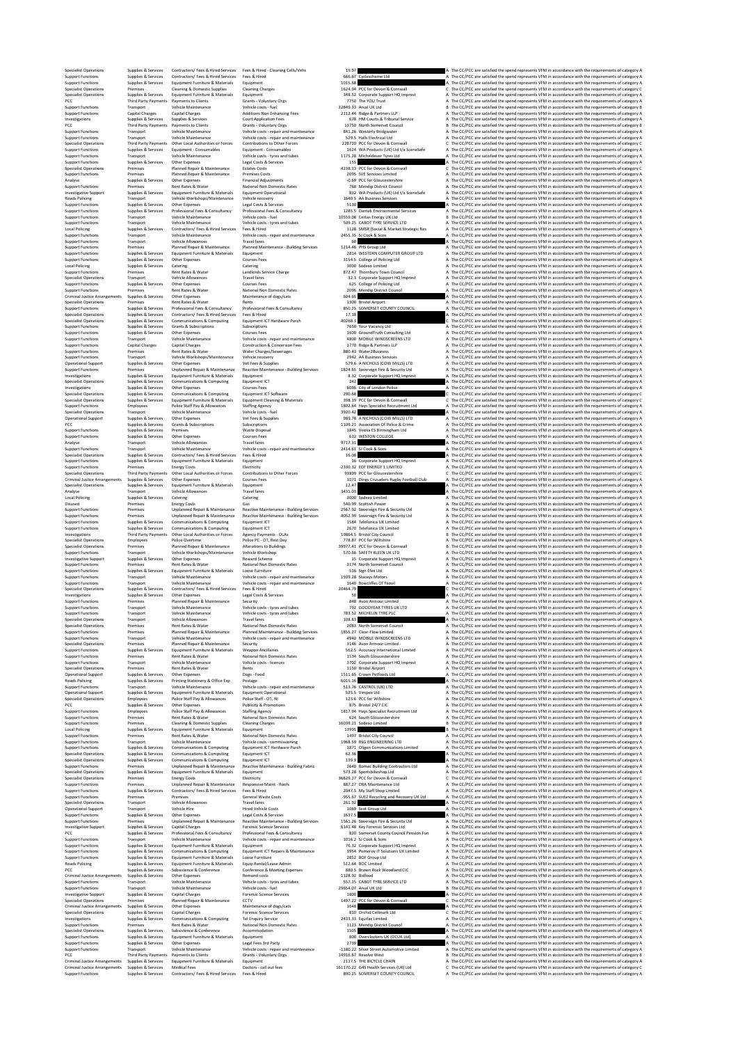Specialist Development of the Specialist Contracts of the Senate of the Specialisty of the CONC are attiled the specified one of the specifies of the specifies of the specifies of the specifies of the specifies of the spe Specialist Operations Premises Cleaning & Domestic Supplies Cleaning Charges 1624.94 PCC for Devon & Cornwall C The CC/PCC are satisfied the spend represents VFM in accordance with the requirements of category C Specialist Operations Supplies & Services Equipment Furniture & Materials Equipment 348.52 Corporate Support HQ Imprest A The CC/PCC are satisfied the spend represents VFM in accordance with the requirements of category A PCC Third Party Payments Payments to Clients Grants - Voluntary Orgs 7750 The YOU Trust A The CC/PCC are satisfied the spend represents VFM in accordance with the requirements of category A Support Functions Transport Vehicle Maintenance Vehicle costs - fuel 32849.33 Arval UK Ltd B The CC/PCC are satisfied the spend represents VFM in accordance with the requirements of category B Support Functions Capital Charges Capital Charges Additions:Non Enhancing Fees 2112.44 Ridge & Partners LLP A The CC/PCC are satisfied the spend represents VFM in accordance with the requirements of category A Investigations Supplies & Services Supplies & Services Court Application Fees 678 HM Courts & Tribunal Service A The CC/PCC are satisfied the spend represents VFM in accordance with the requirements of category A PCC Third Party Payments Payments to Clients Grants - Voluntary Orgs 13750 North Somerset Council B The CC/PCC are satisfied the spend represents VFM in accordance with the requirements of category B Support Functions Transport Vehicle Maintenance Vehicle costs - repair and maintenance 841.26 Westerly Bridgwater A The CC/PCC are satisfied the spend represents VFM in accordance with the requirements of category A Support Functions Transport Vehicle Maintenance Vehicle costs - repair and maintenance 529.5 Halls Electrical Ltd A The CC/PCC are satisfied the spend represents VFM in accordance with the requirements of category A Specialist Operations Third Party Payments Other Local Authorities or Forces Contributions to Other Forces 228720 PCC for Devon & Cornwall C The CC/PCC are satisfied the spend represents VFM in accordance with the requirements of category C Support Functions Supplies & Services Equipment - Consumables Equipment - Consumables 1624 WA Products (UK) Ltd t/a SceneSafe A The CC/PCC are satisfied the spend represents VFM in accordance with the requirements of category A Support Functions Transport Vehicle Maintenance Vehicle costs - tyres and tubes 1175.28 Micheldever Tyres Ltd A The CC/PCC are satisfied the spend represents VFM in accordance with the requirements of category A Support Functions Supplies & Services Other Expenses Legal Costs & Services 155 A The CC/PCC are satisfied the spend represents VFM in accordance with the requirements of category A Specialist Operations Premises Planned Repair & Maintenance Estates Costs 4238.13 PCC for Devon & Cornwall C The CC/PCC are satisfied the spend represents VFM in accordance with the requirements of category C Support Functions Premises Planned Repair & Maintenance Premises Costs 2095 SVE Services Limited A The CC/PCC are satisfied the spend represents VFM in accordance with the requirements of category A Analyse Supplies & Services Other Expenses Financial Adjustments -0.69 PCC for Gloucestershire A The CC/PCC are satisfied the spend represents VFM in accordance with the requirements of category A Support Functions Premises Rent Rates & Water National Non Domestic Rates 768 Mendip District Council A The CC/PCC are satisfied the spend represents VFM in accordance with the requirements of category A Investigative Support Supplies & Services Equipment Furniture & Materials Equipment Operational 832 WA Products (UK) Ltd t/a SceneSafe A The CC/PCC are satisfied the spend represents VFM in accordance with the requirements of category A Roads Policing Transport Vehicle Workshops/Maintenance Vehicle recovery 1640.5 AA Business Services A The CC/PCC are satisfied the spend represents VFM in accordance with the requirements of category A Support Functions Supplies & Services Other Expenses Legal Costs & Services 5130 A The CC/PCC are satisfied the spend represents VFM in accordance with the requirements of category A Support Functions Supplies & Services Professional Fees & Consultancy Professional Fees & Consultancy 1285.5 Dantek Environmental Services A The CC/PCC are satisfied the spend represents VFM in accordance with the requirements of category A Support Functions Transport Vehicle Maintenance Vehicle costs - fuel 10559.08 Certas Energy UK Ltd B The CC/PCC are satisfied the spend represents VFM in accordance with the requirements of category B Support Functions Transport Vehicle Maintenance Vehicle costs - tyres and tubes 509.25 CABOT TYRE SERVICE LTD A The CC/PCC are satisfied the spend represents VFM in accordance with the requirements of category A Local Policing Supplies & Services Contractors/ Fees & Hired Services Fees & Hired 1128 SMSR (Social & Market Strategic Res A The CC/PCC are satisfied the spend represents VFM in accordance with the requirements of category A Support Functions Transport Vehicle Maintenance Vehicle costs - repair and maintenance 2455.35 SJ Cook & Sons A The CC/PCC are satisfied the spend represents VFM in accordance with the requirements of category A Support Functions Transport Vehicle Allowances Travel fares 60 A The CC/PCC are satisfied the spend represents VFM in accordance with the requirements of category A Support Functions Premises Planned Repair & Maintenance Planned Maintenance - Building Services 1214.46 PHS Group Ltd A The CC/PCC are satisfied the spend represents VFM in accordance with the requirements of category A Support Functions Supplies & Services Equipment Furniture & Materials Equipment 2814 WESTERN COMPUTER GROUP LTD A The CC/PCC are satisfied the spend represents VFM in accordance with the requirements of category A Support Functions Supplies & Services Other Expenses Courses Fees 3154.5 College of Policing Ltd A The CC/PCC are satisfied the spend represents VFM in accordance with the requirements of category A Local Policing Supplies & Services Catering Catering 3000 Sodexo Limited A The CC/PCC are satisfied the spend represents VFM in accordance with the requirements of category A Support Functions Premises Rent Rates & Water Landlords Service Charge 872.47 Thornbury Town Council A The CC/PCC are satisfied the spend represents VFM in accordance with the requirements of category A Specialist Operations Transport Vehicle Allowances Travel fares 32.3 Corporate Support HQ Imprest A The CC/PCC are satisfied the spend represents VFM in accordance with the requirements of category A Support Functions Supplies & Services Other Expenses Courses Fees 625 College of Policing Ltd A The CC/PCC are satisfied the spend represents VFM in accordance with the requirements of category A Support Functions Premises Rent Rates & Water National Non Domestic Rates 2096 Mendip District Council A The CC/PCC are satisfied the spend represents VFM in accordance with the requirements of category A Criminal Justice Arrangements Supplies & Services Other Expenses Maintenance of dogs/cats 604.65 A The CC/PCC are satisfied the spend represents VFM in accordance with the requirements of category A Specialist Operations Premises Rent Rates & Water Rents 1300 Bristol Airport A The CC/PCC are satisfied the spend represents VFM in accordance with the requirements of category A Support Functions Supplies & Services Professional Fees & Consultancy Professional Fees & Consultancy 850.25 SOMERSET COUNTY COUNCIL A The CC/PCC are satisfied the spend represents VFM in accordance with the requirements of category A Specialist Operations Supplies & Services Contractors/ Fees & Hired Services Fees & Hired 17.18 A The CC/PCC are satisfied the spend represents VFM in accordance with the requirements of category A Specialist Operations Supplies & Services Communications & Computing Equipment ICT Hardware Purch 40268.3 C The CC/PCC are satisfied the spend represents VFM in accordance with the requirements of category C Support Functions Supplies & Services Grants & Subscriptions Subscriptions 7650 Your Vacancy Ltd A The CC/PCC are satisfied the spend represents VFM in accordance with the requirements of category A Support Functions Supplies & Services Other Expenses Courses Fees 1600 GroundTruth Consulting Ltd A The CC/PCC are satisfied the spend represents VFM in accordance with the requirements of category A Support Functions Transport Vehicle Maintenance Vehicle costs - repair and maintenance 4800 MOBILE WINDSCREENS LTD A The CC/PCC are satisfied the spend represents VFM in accordance with the requirements of category A Support Functions Capital Charges Capital Charges Construction & Conversion Fees 1770 Ridge & Partners LLP A The CC/PCC are satisfied the spend represents VFM in accordance with the requirements of category A Support Functions Premises Rent Rates & Water Water Charges/Sewerages 880.43 Water2Business A The CC/PCC are satisfied the spend represents VFM in accordance with the requirements of category A Support Functions Transport Vehicle Workshops/Maintenance Vehicle recovery 2942 AA Business Services A The CC/PCC are satisfied the spend represents VFM in accordance with the requirements of category A Operational Support Supplies & Services Other Expenses Vet Fees & Supplies 579.6 A NICHOLS (COW MILLS) LTD A The CC/PCC are satisfied the spend represents VFM in accordance with the requirements of category A Support Functions Premises Unplanned Repair & Maintenance Reactive Maintenance - Building Services 1824.65 Sovereign Fire & Security Ltd A The CC/PCC are satisfied the spend represents VFM in accordance with the requirements of category A Investigations Supplies & Services Equipment Furniture & Materials Equipment 8.32 Corporate Support HQ Imprest A The CC/PCC are satisfied the spend represents VFM in accordance with the requirements of category A Specialist Operations Supplies & Services Communications & Computing Equipment ICT 242 A The CC/PCC are satisfied the spend represents VFM in accordance with the requirements of category A Investigations Supplies & Services Other Expenses Courses Fees 6095 City of London Police A The CC/PCC are satisfied the spend represents VFM in accordance with the requirements of category A Specialist Operations Supplies & Services Communications & Computing Equipment ICT Software 290.68 C The CC/PCC are satisfied the spend represents VFM in accordance with the requirements of category C Specialist Operations Supplies & Services Equipment Furniture & Materials Equipment Cleaning & Materials 398.19 PCC for Devon & Cornwall C The CC/PCC are satisfied the spend represents VFM in accordance with the requirements of category C Support Functions Employees Police Staff Pay & Allowances Staffing Agency 1802.64 Hays Specialist Recruitment Ltd A The CC/PCC are satisfied the spend represents VFM in accordance with the requirements of category A Specialist Operations Transport Vehicle Maintenance Vehicle costs - fuel 3920.42 A The CC/PCC are satisfied the spend represents VFM in accordance with the requirements of category A Operational Support Supplies & Services Other Expenses Vet Fees & Supplies 989.78 A NICHOLS (COW MILLS) LTD A The CC/PCC are satisfied the spend represents VFM in accordance with the requirements of category A PCC Supplies & Services Grants & Subscriptions Subscriptions 1109.21 Association Of Police & Crime A The CC/PCC are satisfied the spend represents VFM in accordance with the requirements of category A Support Functions Supplies & Services Premises Waste Disposal 1845 Veolia ES Birmingham Ltd A The CC/PCC are satisfied the spend represents VFM in accordance with the requirements of category A Support Functions Supplies & Services Other Expenses Courses Fees 632 WESTON COLLEGE A The CC/PCC are satisfied the spend represents VFM in accordance with the requirements of category A Analyse Transport Vehicle Allowances Travel fares 9717.31 A The CC/PCC are satisfied the spend represents VFM in accordance with the requirements of category A Support Functions Transport Vehicle Maintenance Vehicle costs - repair and maintenance 2414.61 SJ Cook & Sons A The CC/PCC are satisfied the spend represents VFM in accordance with the requirements of category A Specialist Operations Supplies & Services Contractors/ Fees & Hired Services Fees & Hired 16.08 A The CC/PCC are satisfied the spend represents VFM in accordance with the requirements of category A Support Functions Supplies & Services Equipment Furniture & Materials Equipment 16 Corporate Support HQ Imprest A The CC/PCC are satisfied the spend represents VFM in accordance with the requirements of category A Support Functions Premises Energy Costs Electricity -2330.32 EDF ENERGY 1 LIMITED A The CC/PCC are satisfied the spend represents VFM in accordance with the requirements of category A Specialist Operations Third Party Payments Other Local Authorities or Forces Contributions to Other Forces 93899 PCC for Gloucestershire C The CC/PCC are satisfied the spend represents VFM in accordance with the requirements of category C Criminal Justice Arrangements Supplies & Services Other Expenses Courses Fees 1071 Dings Crusaders Rugby Football Club A The CC/PCC are satisfied the spend represents VFM in accordance with the requirements of category A Specialist Operations Supplies & Services Equipment Furniture & Materials Equipment 12.47 A The CC/PCC are satisfied the spend represents VFM in accordance with the requirements of category A Analyse Transport Vehicle Allowances Travel fares 3431.03 A The CC/PCC are satisfied the spend represents VFM in accordance with the requirements of category A Local Policing Supplies & Services Catering Catering 3000 Sodexo Limited A The CC/PCC are satisfied the spend represents VFM in accordance with the requirements of category A Disused Premises Energy Costs Gas 540.99 Scottish Power A The CC/PCC are satisfied the spend represents VFM in accordance with the requirements of category A Support Functions Premises Unplanned Repair & Maintenance Reactive Maintenance - Building Services 2567.92 Sovereign Fire & Security Ltd A The CC/PCC are satisfied the spend represents VFM in accordance with the requirements of category A Support Functions Premises Unplanned Repair & Maintenance Reactive Maintenance - Building Services 4052.99 Sovereign Fire & Security Ltd A The CC/PCC are satisfied the spend represents VFM in accordance with the requirements of category A Support Functions Supplies & Services Communications & Computing Equipment ICT 1584 Telefonica UK Limited A The CC/PCC are satisfied the spend represents VFM in accordance with the requirements of category A Support Functions Supplies & Services Communications & Computing Equipment ICT 2670 Telefonica UK Limited A The CC/PCC are satisfied the spend represents VFM in accordance with the requirements of category A Investigations Third Party Payments Other Local Authorities or Forces Agency Payments - OLAs 19864.5 Bristol City Council B The CC/PCC are satisfied the spend represents VFM in accordance with the requirements of category B Specialist Operations Employees Police Overtime Police PC - OT, Rest Day 778.87 PCC for Wiltshire A The CC/PCC are satisfied the spend represents VFM in accordance with the requirements of category A Specialist Operations Premises Planned Repair & Maintenance Alterations to Buildings 39977.41 PCC for Devon & Cornwall B The CC/PCC are satisfied the spend represents VFM in accordance with the requirements of category B Support Functions Transport Vehicle Workshops/Maintenance Vehicle Workshop 570.66 SAFETY KLEEN UK LTD A The CC/PCC are satisfied the spend represents VFM in accordance with the requirements of category A Investigative Support Supplies & Services Other Expenses Reward Scheme 15 Corporate Support HQ Imprest A The CC/PCC are satisfied the spend represents VFM in accordance with the requirements of category A Support Functions Premises Rent Rates & Water National Non Domestic Rates 3174 North Somerset Council A The CC/PCC are satisfied the spend represents VFM in accordance with the requirements of category A Support Functions Supplies & Services Equipment Furniture & Materials Loose Furniture 516 Sign Efex Ltd A The CC/PCC are satisfied the spend represents VFM in accordance with the requirements of category A Support versus that the material of the control of the control of the control of the comparable of the compara<br>Support included that the control of the control with the control of the control of the control of the control Specialist Operations Supplies & Services Contractors/ Fees & Hired Services Fees & Hired 20464.79 C The CC/PCC are satisfied the spend represents VFM in accordance with the requirements of category C Investigations Supplies & Services Other Expenses Legal Costs & Services 50 A The CC/PCC are satisfied the spend represents VFM in accordance with the requirements of category A Support Functions Premises Planned Repair & Maintenance Security 848 Avon Armour Limited A The CC/PCC are satisfied the spend represents VFM in accordance with the requirements of category A Support Functions Transport Vehicle Maintenance Vehicle costs - tyres and tubes 792 GOODYEAR TYRES UK LTD A The CC/PCC are satisfied the spend represents VFM in accordance with the requirements of category A Support Functions Transport Vehicle Maintenance Vehicle costs - tyres and tubes 783.52 MICHELIN TYRE PLC A The CC/PCC are satisfied the spend represents VFM in accordance with the requirements of category A Specialist Operations Transport Vehicle Allowances Travel fares 108.83 A The CC/PCC are satisfied the spend represents VFM in accordance with the requirements of category A Specialist Operations Premises Rent Rates & Water National Non Domestic Rates 2083 North Somerset Council A The CC/PCC are satisfied the spend represents VFM in accordance with the requirements of category A Support Functions Premises Planned Repair & Maintenance Planned Maintenance - Building Services 1855.27 Clear-Flow Limited A The CC/PCC are satisfied the spend represents VFM in accordance with the requirements of category A Support Functions Transport Vehicle Maintenance Vehicle costs - repair and maintenance 4940 MOBILE WINDSCREENS LTD A The CC/PCC are satisfied the spend represents VFM in accordance with the requirements of category A Specialist Operations Premises Planned Repair & Maintenance Security 3146 Avon Armour Limited A The CC/PCC are satisfied the spend represents VFM in accordance with the requirements of category A Support Functions Supplies & Services Equipment Furniture & Materials Weapon Ancillaries 562.5 Accuracy International Limited A The CC/PCC are satisfied the spend represents VFM in accordance with the requirements of category A Support Functions Premises Rent Rates & Water National Non Domestic Rates 1534 South Gloucestershire A The CC/PCC are satisfied the spend represents VFM in accordance with the requirements of category A Support Functions Transport Vehicle Maintenance Vehicle costs - licences 3702 Corporate Support HQ Imprest A The CC/PCC are satisfied the spend represents VFM in accordance with the requirements of category A Specialist Operations Premises Rent Rates & Water Rents 1150 Bristol Airport A The CC/PCC are satisfied the spend represents VFM in accordance with the requirements of category A Operational Support Supplies & Services Other Expenses Dogs - Food 1511.65 Crown Petfoods Ltd A The CC/PCC are satisfied the spend represents VFM in accordance with the requirements of category A Roads Policing Supplies & Services Printing Stationery & Office Exp Postage 6015.16 A The CC/PCC are satisfied the spend represents VFM in accordance with the requirements of category A Support Functions Transport Vehicle Maintenance Vehicle costs - repair and maintenance 513.76 CASTROL (UK) LTD A The CC/PCC are satisfied the spend represents VFM in accordance with the requirements of category A Operational Support Supplies & Services Equipment Furniture & Materials Equipment Operational 525.5 Vimpex Ltd A The CC/PCC are satisfied the spend represents VFM in accordance with the requirements of category A Specialist Operations Employees Police Staff Pay & Allowances Police Staff - OT, NI 123.6 PCC for Wiltshire A The CC/PCC are satisfied the spend represents VFM in accordance with the requirements of category A PCC Supplies & Services Other Expenses Publicity & Promotions 875 Bristol 24/7 CIC A The CC/PCC are satisfied the spend represents VFM in accordance with the requirements of category A Support Functions Employees Police Staff Pay & Allowances Staffing Agency 1817.94 Hays Specialist Recruitment Ltd A The CC/PCC are satisfied the spend represents VFM in accordance with the requirements of category A Support Functions Premises Rent Rates & Water National Non Domestic Rates 624 South Gloucestershire A The CC/PCC are satisfied the spend represents VFM in accordance with the requirements of category A Support Functions Premises Cleaning & Domestic Supplies Cleaning Charges 16039.21 Sodexo Limited B The CC/PCC are satisfied the spend represents VFM in accordance with the requirements of category B Local Policing Supplies & Services Equipment Furniture & Materials Equipment 13995 B The CC/PCC are satisfied the spend represents VFM in accordance with the requirements of category B Support Functions Premises Rent Rates & Water National Non Domestic Rates 1497 Bristol City Council A The CC/PCC are satisfied the spend represents VFM in accordance with the requirements of category A Support Functions Transport Vehicle Maintenance Vehicle costs - commissioning 1968.59 RSG ENGINEERING LTD A The CC/PCC are satisfied the spend represents VFM in accordance with the requirements of category A Support Functions Supplies & Services Communications & Computing Equipment ICT Hardware Purch 1871 Oligen Communications Limited A The CC/PCC are satisfied the spend represents VFM in accordance with the requirements of category A Specialist Operations Supplies & Services Communications & Computing Equipment ICT 62.36 A The CC/PCC are satisfied the spend represents VFM in accordance with the requirements of category A Specialist Operations Supplies & Services Communications & Computing Equipment ICT 139.9 A The CC/PCC are satisfied the spend represents VFM in accordance with the requirements of category A Support Functions Premises Unplanned Repair & Maintenance Reactive Maintenance - Building Fabric 2640 Romac Building Contractors Ltd A The CC/PCC are satisfied the spend represents VFM in accordance with the requirements of category A Specialist Operations Supplies & Services Equipment Furniture & Materials Equipment 573.28 Sportsbikeshop Ltd A The CC/PCC are satisfied the spend represents VFM in accordance with the requirements of category A Specialist Operations Premises Energy Costs Electricity 36629.27 PCC for Devon & Cornwall C The CC/PCC are satisfied the spend represents VFM in accordance with the requirements of category C Support Functions Premises Unplanned Repair & Maintenance Responsive Maint - Roofs 887.27 DRA Maintenance Ltd A The CC/PCC are satisfied the spend represents VFM in accordance with the requirements of category A Support Functions Supplies & Services Contractors/ Fees & Hired Services Fees & Hired 2047.5 My Staff Shop Limited A The CC/PCC are satisfied the spend represents VFM in accordance with the requirements of category A Support Functions Premises Premises General Waste Costs -955.67 SUEZ Recycling and Recovery UK Ltd A The CC/PCC are satisfied the spend represents VFM in accordance with the requirements of category A Specialist Operations Transport Vehicle Allowances Travel fares 261.92 A The CC/PCC are satisfied the spend represents VFM in accordance with the requirements of category A Operational Support Transport Vehicle Hire Hired Vehicle Costs 1069 Scot Group Ltd A The CC/PCC are satisfied the spend represents VFM in accordance with the requirements of category A Support Functions Supplies & Services Other Expenses Legal Costs & Services 1637.5 A The CC/PCC are satisfied the spend represents VFM in accordance with the requirements of category A Support Functions Premises Unplanned Repair & Maintenance Reactive Maintenance - Building Services 1561.26 Sovereign Fire & Security Ltd A The CC/PCC are satisfied the spend represents VFM in accordance with the requirements of category A Investigative Support Supplies & Services Capital Charges Forensic Science Services 6141.48 Key Forensic Services Ltd A The CC/PCC are satisfied the spend represents VFM in accordance with the requirements of category A PCC Supplies & Services Professional Fees & Consultancy Professional Fees & Consultancy 820 Somerset County Council Pension Fun A The CC/PCC are satisfied the spend represents VFM in accordance with the requirements of category A Support Functions Transport Vehicle Maintenance Vehicle costs - repair and maintenance 1016.2 SJ Cook & Sons A The CC/PCC are satisfied the spend represents VFM in accordance with the requirements of category A Support Functions Supplies & Services Equipment Furniture & Materials Equipment 76.32 Corporate Support HQ Imprest A The CC/PCC are satisfied the spend represents VFM in accordance with the requirements of category A Support Functions Supplies & Services Communications & Computing Equipment ICT Repairs & Maintenance 3954 Pomeroy IT Solutions UK Limited A The CC/PCC are satisfied the spend represents VFM in accordance with the requirements of category A Support Functions Supplies & Services Equipment Furniture & Materials Loose Furniture 2852 BOF Group Ltd A The CC/PCC are satisfied the spend represents VFM in accordance with the requirements of category A Roads Policing Supplies & Services Equipment Furniture & Materials Equip Rental/Lease Admin 512.64 BOC Limited A The CC/PCC are satisfied the spend represents VFM in accordance with the requirements of category A PCC Supplies & Services Subsistence & Conference Conference & Meeting Expenses 880.5 Brown Rock Woodland CIC A The CC/PCC are satisfied the spend represents VFM in accordance with the requirements of category A Criminal Justice Arrangements Supplies & Services Other Expenses Remand costs 1128.92 Bidfood A The CC/PCC are satisfied the spend represents VFM in accordance with the requirements of category A Support Functions Transport Vehicle Maintenance Vehicle costs - tyres and tubes 557.15 CABOT TYRE SERVICE LTD A The CC/PCC are satisfied the spend represents VFM in accordance with the requirements of category A Support Functions Transport Vehicle Maintenance Vehicle costs - fuel 29654.07 Arval UK Ltd B The CC/PCC are satisfied the spend represents VFM in accordance with the requirements of category B Investigative Support Supplies & Services Capital Charges Forensic Science Services 1800 A The CC/PCC are satisfied the spend represents VFM in accordance with the requirements of category A Specialist Operations Premises Planned Repair & Maintenance CCTV 1497.22 PCC for Devon & Cornwall C The CC/PCC are satisfied the spend represents VFM in accordance with the requirements of category C Criminal Justice Arrangements Supplies & Services Other Expenses Maintenance of dogs/cats 1648 A The CC/PCC are satisfied the spend represents VFM in accordance with the requirements of category A Specialist Operations Supplies & Services Capital Charges Forensic Science Services 810 Orchid Cellmark Ltd C The CC/PCC are satisfied the spend represents VFM in accordance with the requirements of category C Investigations Supplies & Services Communications & Computing Tel Enquiry Service 2433.33 Equifax Limited A The CC/PCC are satisfied the spend represents VFM in accordance with the requirements of category A Support Functions Premises Rent Rates & Water National Non Domestic Rates 1123 Mendip District Council A The CC/PCC are satisfied the spend represents VFM in accordance with the requirements of category A Specialist Operations Supplies & Services Subsistence & Conference Accommodation 1505 A The CC/PCC are satisfied the spend represents VFM in accordance with the requirements of category A Support Functions Supplies & Services Equipment Furniture & Materials Equipment 800 Overclockers UK (OCUK Ltd) A The CC/PCC are satisfied the spend represents VFM in accordance with the requirements of category A Support Functions Supplies & Services Other Expenses Legal Fees 3rd Party 2739 A The CC/PCC are satisfied the spend represents VFM in accordance with the requirements of category A Support Functions Transport Vehicle Maintenance Vehicle costs - repair and maintenance -1180.22 Silver Street Automotive Limited A The CC/PCC are satisfied the spend represents VFM in accordance with the requirements of category A PCC and the property of the Supplementato distance of the Magnetic Conditional Supplementatory of the CONSTANTI<br>2011/07 Criminal American Magnetic Magnetic Magnetic Magnetic Magnetic Criminal Supplementatory (Supplementato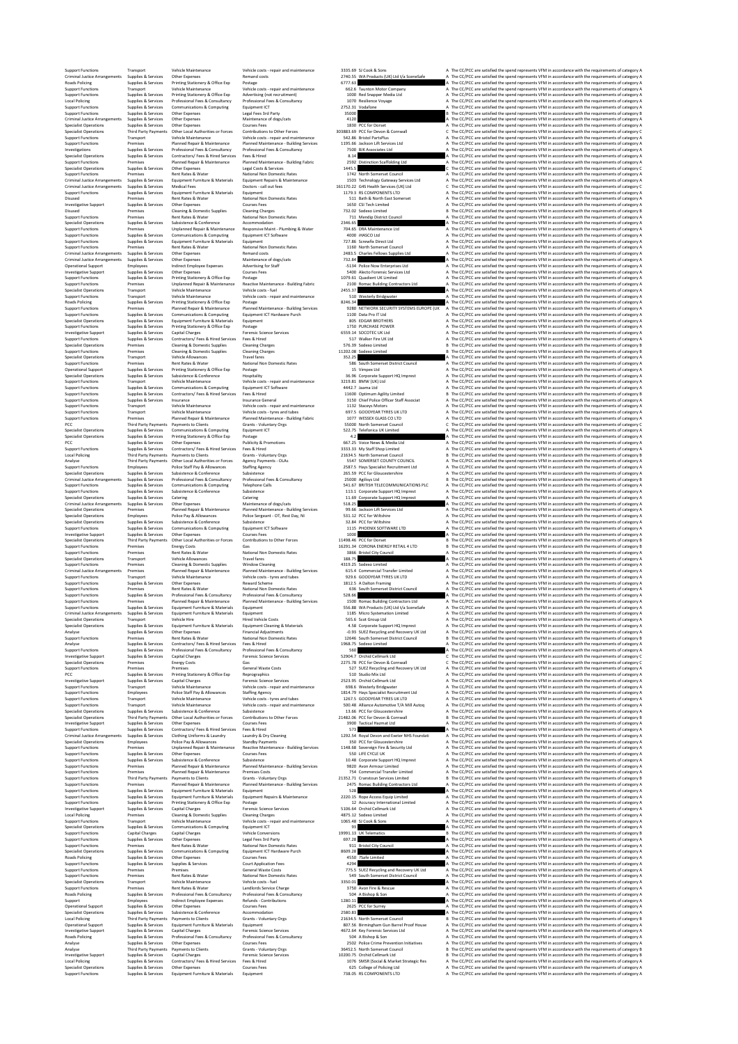| <b>Support Functions</b><br>Criminal Justice Arrangements             | Transport                                                       | Vehicle Maintenance<br>Other Expenses                                                    | Vehicle costs - repair and maintenance<br>Remand costs                        |               | 3335.69. SLCook & Sons                                                        |       | A The<br>A The |
|-----------------------------------------------------------------------|-----------------------------------------------------------------|------------------------------------------------------------------------------------------|-------------------------------------------------------------------------------|---------------|-------------------------------------------------------------------------------|-------|----------------|
| Roads Policing                                                        | Supplies & Services<br>Supplies & Services                      | Printing Stationery & Office Exp                                                         | Postage                                                                       | 6777.63       | 2740.55 WA Products (UK) Ltd t/a SceneSafe                                    |       | A The          |
| <b>Support Functions</b><br><b>Support Functions</b>                  | Transport<br>Supplies & Services                                | Vehicle Maintenance<br>Printing Stationery & Office Exp                                  | Vehicle costs - repair and maintenance<br>Advertising (not recruitment)       |               | 662.6 Taunton Motor Company<br>1000 Red Snapper Media Ltd                     |       | A The<br>A The |
| <b>Local Policing</b><br><b>Support Functions</b>                     | Supplies & Services<br>Supplies & Services                      | Professional Fees & Consultancy<br>Communications & Computing                            | Professional Fees & Consultancy<br>Equipment ICT                              |               | 1070 Resilience Voyage<br>2752.31 Vodafone                                    |       | A The<br>A The |
| <b>Support Functions</b>                                              | Supplies & Services                                             | Other Expenses<br>Other Expenses                                                         | Legal Fees 3rd Party                                                          | 35000<br>4120 |                                                                               |       | B The<br>A The |
| Criminal Justice Arrangements<br>Specialist Operations                | Supplies & Services<br>Supplies & Services                      | Other Expenses                                                                           | Maintenance of dogs/cats<br>Courses Fees                                      |               | 1830 PCC for Dorset                                                           |       | A The          |
| Specialist Operations<br><b>Support Functions</b>                     | Transport                                                       | Third Party Payments Other Local Authorities or Forces<br>Vehicle Maintenance            | Contributions to Other Forces<br>Vehicle costs - repair and maintenance       |               | 303883.69 PCC for Devon & Cornwall<br>542.86 Bristol PartsPlus                |       | C The<br>A The |
| <b>Support Functions</b><br>Investigations                            | Premises<br>Supplies & Services                                 | Planned Repair & Maintenance<br>Professional Fees & Consultancy                          | Planned Maintenance - Building Services<br>Professional Fees & Consultancy    |               | 1195.66 Jackson Lift Services Ltd<br>7500 BJK Associates Ltd                  |       | A The<br>A The |
| Specialist Operations                                                 | Supplies & Services                                             | Contractors/ Fees & Hired Services                                                       | Fees & Hired                                                                  | 8.14          |                                                                               | A The |                |
| <b>Support Functions</b><br>Specialist Operations                     | Premises<br>Supplies & Services                                 | Planned Repair & Maintenance<br>Other Expenses                                           | Planned Maintenance - Building Fabric<br>Legal Costs & Services               | 1445.5        | 2592 Distinction Scaffolding Ltd                                              | C The | A The          |
| <b>Support Functions</b><br>Criminal Justice Arrangements             | Premises<br>Supplies & Services                                 | Rent Rates & Water<br>Equipment Furniture & Materials                                    | National Non Domestic Rates<br>Equipment Repairs & Maintenance                |               | 1742 North Somerset Council<br>1503 Technology Gateway Services Ltd           |       | A The<br>A The |
| Criminal Justice Arrangements                                         | Supplies & Services<br>Supplies & Services                      | <b>Medical Fees</b><br>Equipment Furniture & Materials                                   | Doctors - call out fees                                                       |               | 161170.22 G4S Health Services (UK) Ltd<br>1179.3 RS COMPONENTS LTD            |       | C The          |
| <b>Support Functions</b><br>Disused                                   | Premises                                                        | <b>Rent Rates &amp; Water</b>                                                            | Equipment<br>National Non Domestic Rates                                      |               | 511 Bath & North East Somerset                                                |       | A The<br>A The |
| <b>Investigative Support</b><br>Disused                               | Supplies & Services<br>Premises                                 | Other Expenses<br>Cleaning & Domestic Supplies                                           | Courses Fees<br><b>Cleaning Charges</b>                                       |               | 1650 CSI Tech Limited<br>732.02 Sodexo Limited                                |       | A The<br>B The |
| <b>Support Functions</b>                                              | Premises<br>Supplies & Services                                 | Rent Rates & Water                                                                       | National Non Domestic Rates                                                   |               | 711 Mendip District Council                                                   |       | A The<br>A The |
| <b>Specialist Operations</b><br><b>Support Functions</b>              | Premises                                                        | Subsistence & Conference<br>Unplanned Repair & Maintenance                               | Accommodation<br>Responsive Maint - Plumbing & Water                          | 2346.65       | 704.65 DRA Maintenance Ltd                                                    |       | A The          |
| <b>Support Functions</b><br><b>Support Functions</b>                  | Supplies & Services<br>Supplies & Services                      | Communications & Computing<br>Equipment Furniture & Materials                            | Equipment ICT Software<br>Equipment                                           |               | 4000 iHASCO Ltd<br>727.86 Screwfix Direct Ltd                                 |       | A The<br>A The |
| <b>Support Functions</b>                                              | Premises                                                        | Rent Rates & Water                                                                       | National Non Domestic Rates                                                   |               | 1160 North Somerset Council                                                   |       | A The          |
| Criminal Justice Arrangements<br><b>Criminal Justice Arrangements</b> | Supplies & Services<br>Supplies & Services                      | Other Expenses<br>Other Expenses                                                         | Remand costs<br>Maintenance of dogs/cats                                      | 732.84        | 2483.5 Charles Fellows Supplies Ltd                                           |       | A The<br>A The |
| Operational Support<br><b>Investigative Support</b>                   | Employees<br>Supplies & Services                                | <b>Indirect Employee Expenses</b><br>Other Expenses                                      | <b>Advertising for Staff</b><br>Courses Fees                                  |               | -5134 Police Now Enterprises Ltd<br>5400 Alecto Forensic Services Ltd         |       | A The<br>A The |
| <b>Support Functions</b><br><b>Support Functions</b>                  | Supplies & Services<br>Premises                                 | Printing Stationery & Office Exp<br>Unplanned Repair & Maintenance                       | Postage<br>Reactive Maintenance - Building Fabric                             |               | 1079.61 Quadient UK Limited<br>2100 Romac Building Contractors Ltd            |       | A The<br>A The |
| Specialist Operations                                                 | Transport                                                       | Vehicle Maintenance                                                                      | Vehicle costs - fuel                                                          | 2455.37       |                                                                               | A The |                |
| <b>Support Functions</b><br>Roads Policing                            | Transport<br>Supplies & Services                                | Vehicle Maintenance<br>Printing Stationery & Office Exp                                  | Vehicle costs - repair and maintenance<br>Postage                             | 8246.34       | 510 Westerly Bridgwater                                                       |       | A The<br>A The |
| <b>Support Functions</b><br><b>Support Functions</b>                  | Premises<br>Supplies & Services                                 | Planned Repair & Maintenance<br>Communications & Computing                               | Planned Maintenance - Building Services<br>Equipment ICT Hardware Purch       |               | 9280 NETWORK SECURITY SYSTEMS EUROPE (UK<br>1100 Data Pro IT Itd.             |       | A The<br>A The |
| Specialist Operations                                                 | Supplies & Services                                             | Equipment Furniture & Materials                                                          | Equipment                                                                     |               | 805 EDGAR BROTHERS                                                            |       | A The          |
| <b>Support Functions</b><br><b>Investigative Support</b>              | Supplies & Services<br>Supplies & Services                      | Printing Stationery & Office Exp<br>Capital Charges                                      | Postage<br><b>Forensic Science Services</b>                                   |               | 1750 PURCHASE POWER<br>6559.14 SOCOTEC UK Ltd                                 |       | A The<br>A The |
| <b>Support Functions</b><br>Specialist Operations                     | Supplies & Services<br>Premises                                 | Contractors/ Fees & Hired Services<br>Cleaning & Domestic Supplies                       | Fees & Hired<br><b>Cleaning Charges</b>                                       |               | 517 Walker Fire UK Ltd<br>576.39 Sodexo Limited                               |       | A The<br>B The |
| <b>Support Functions</b>                                              | Premises                                                        | Cleaning & Domestic Supplies                                                             | <b>Cleaning Charges</b>                                                       |               | 11202.08 Sodexo Limited                                                       |       | B The          |
| <b>Specialist Operations</b><br><b>Support Functions</b>              | Transport<br>Premises                                           | Vehicle Allowances<br>Rent Rates & Water                                                 | <b>Travel fares</b><br>National Non Domestic Rates                            | 352.25        | 586 South Somerset District Council                                           | A The | A The          |
| Operational Support<br><b>Specialist Operations</b>                   | Supplies & Services<br>Supplies & Services                      | Printing Stationery & Office Exp<br>Subsistence & Conference                             | Postage<br>Hospitality                                                        |               | 15 Vimpex Ltd<br>36.96 Corporate Support HQ Imprest                           |       | A The<br>A The |
| <b>Support Functions</b>                                              | Transport                                                       | Vehicle Maintenance                                                                      | Vehicle costs - repair and maintenance                                        |               | 3219.81 BMW (UK) Ltd                                                          |       | A The          |
| <b>Support Functions</b><br><b>Support Functions</b>                  | Supplies & Services<br>Supplies & Services                      | Communications & Computing<br>Contractors/ Fees & Hired Services                         | Equipment ICT Software<br>Fees & Hired                                        |               | 4442.7 Jaama Ltd<br>11600 Optimum Agility Limited                             |       | A The<br>B The |
| <b>Support Functions</b><br><b>Support Functions</b>                  | Supplies & Services<br>Transport                                | Insurance<br>Vehicle Maintenance                                                         | <b>Insurance General</b><br>Vehicle costs - repair and maintenance            |               | 3150 Chief Police Officer Staff Associat<br>1132 Stacevs Motors               |       | A The<br>A The |
| <b>Support Functions</b>                                              | Transport                                                       | Vehicle Maintenance                                                                      | Vehicle costs - tyres and tubes                                               |               | 697.5 GOODYEAR TYRES UK LTD                                                   |       | A The          |
| <b>Support Functions</b><br>PCC                                       | Premises<br>Third Party Payments Payments to Clients            | Planned Repair & Maintenance                                                             | Planned Maintenance - Building Fabric<br>Grants - Voluntary Orgs              |               | 1077 WESSEX GLASS CO LTD<br>55000 North Somerset Council                      |       | A The<br>C The |
| Specialist Operations<br><b>Specialist Operations</b>                 | Supplies & Services<br>Supplies & Services                      | Communications & Computing<br>Printing Stationery & Office Exp                           | Equipment ICT<br>Postage                                                      | 4.2           | 522.75 Telefonica UK Limited                                                  |       | A The<br>A The |
| PCC                                                                   | Supplies & Services                                             | Other Expenses                                                                           | <b>Publicity &amp; Promotions</b>                                             |               | 667.25 Voice News & Media Ltd                                                 |       | A The          |
| <b>Support Functions</b><br><b>Local Policing</b>                     | Supplies & Services<br>Third Party Payments Payments to Clients | Contractors/ Fees & Hired Services                                                       | Fees & Hired<br>Grants - Voluntary Orgs                                       |               | 3333.33 My Staff Shop Limited<br>21634.5 North Somerset Council               |       | A The<br>B The |
| Analyse<br><b>Support Functions</b>                                   | Employees                                                       | Third Party Payments  Other Local Authorities or Forces<br>Police Staff Pay & Allowances | <b>Agency Payments - OLAs</b><br><b>Staffing Agency</b>                       |               | 5547 SOMERSET COUNTY COUNCIL<br>2587.5 Hays Specialist Recruitment Ltd        |       | A The<br>A The |
| Specialist Operations                                                 | Supplies & Services                                             | Subsistence & Conference                                                                 | Subsistence                                                                   |               | 265.59 PCC for Gloucestershire                                                |       | A The          |
| Criminal Justice Arrangements<br><b>Support Functions</b>             | Supplies & Services<br>Supplies & Services                      | Professional Fees & Consultancy<br>Communications & Computing                            | Professional Fees & Consultancy<br><b>Telephone Calls</b>                     |               | 25000 Agilisys Ltd<br>541.67 BRITISH TELECOMMUNICATIONS PLC                   |       | B The<br>A The |
| <b>Support Functions</b><br>Specialist Operations                     | Supplies & Services<br>Supplies & Services                      | Subsistence & Conference<br>Catering                                                     | Subsistence<br>Catering                                                       |               | 113.1 Corporate Support HQ Imprest<br>11.69 Corporate Support HQ Imprest      |       | A The<br>A The |
| Criminal Justice Arrangements                                         | Supplies & Services                                             | Other Expenses                                                                           | Maintenance of dogs/cats                                                      | 518.25        |                                                                               |       | A The          |
| Specialist Operations<br><b>Specialist Operations</b>                 | Premises<br>Employees                                           | Planned Repair & Maintenance<br>Police Pay & Allowances                                  | Planned Maintenance - Building Services<br>Police Sergeant - OT, Rest Day, NI |               | 99.66 Jackson Lift Services Ltd<br>531.12 PCC for Wiltshire                   |       | A The<br>A The |
| Specialist Operations<br><b>Support Functions</b>                     | Supplies & Services<br>Supplies & Services                      | Subsistence & Conference<br>Communications & Computing                                   | Subsistence<br>Equipment ICT Software                                         |               | 32.84 PCC for Wiltshire<br>1115 PHOENIX SOFTWARE LTD                          |       | A The<br>A The |
| <b>Investigative Support</b>                                          | Supplies & Services                                             | Other Expenses                                                                           | <b>Courses Fees</b><br>Contributions to Other Forces                          | 1000          |                                                                               |       | A The          |
| Specialist Operations<br><b>Support Functions</b>                     | Premises                                                        | Third Party Payments Other Local Authorities or Forces<br><b>Energy Costs</b>            | Gas                                                                           |               | 11498.46 PCC for Dorset<br>16291.34 CORONA ENERGY RETAIL 4 LTD                |       | B The<br>B The |
| <b>Support Functions</b><br>Specialist Operations                     | Premises<br>Transport                                           | Rent Rates & Water<br>Vehicle Allowances                                                 | National Non Domestic Rates<br><b>Travel fares</b>                            | 188.75        | 3866 Bristol City Council                                                     | A The | A The          |
| Support Functions                                                     | Premises<br>Premises                                            | Cleaning & Domestic Supplies<br>Planned Repair & Maintenance                             | <b>Window Cleaning</b><br>Planned Maintenance - Building Services             |               | 4319.25 Sodexo Limited<br>615 4 Commercial Transfer Limited                   |       | A The<br>A The |
| Criminal Justice Arrangements<br><b>Support Functions</b>             | Transport                                                       | Vehicle Maintenance                                                                      | Vehicle costs - tyres and tubes                                               |               | 929.6 GOODYEAR TYRES UK LTD                                                   |       | A The          |
| <b>Support Functions</b><br><b>Support Functions</b>                  | Supplies & Services<br>Premises                                 | Other Expenses<br>Rent Rates & Water                                                     | <b>Reward Scheme</b><br>National Non Domestic Rates                           |               | 1812.5 A Dalton Framing<br>636 South Somerset District Council                |       | A The<br>A The |
| <b>Support Functions</b><br><b>Support Functions</b>                  | Supplies & Services<br>Premises                                 | Professional Fees & Consultancy<br>Planned Repair & Maintenance                          | Professional Fees & Consultancy<br>Planned Maintenance - Building Services    | 528.66        | 1500 Romac Building Contractors Ltd                                           |       | A The<br>A The |
| <b>Support Functions</b>                                              | Supplies & Services                                             | Equipment Furniture & Materials                                                          | Equipment                                                                     |               | 556.88 WA Products (UK) Ltd t/a SceneSafe                                     |       | A The          |
| Criminal Justice Arrangements<br>Specialist Operations                | Supplies & Services<br>Transport                                | Equipment Furniture & Materials<br>Vehicle Hire                                          | Equipment<br><b>Hired Vehicle Costs</b>                                       |               | 1185 Micro Systemation Limited<br>565.6 Scot Group Ltd                        |       | A The<br>A The |
| Specialist Operations<br>Analyse                                      | Supplies & Services<br>Supplies & Services                      | Equipment Furniture & Materials<br>Other Expenses                                        | <b>Equipment Cleaning &amp; Materials</b><br><b>Financial Adiustments</b>     |               | 4.58 Corporate Support HQ Imprest<br>-0.93 SUEZ Recycling and Recovery UK Ltd |       | A The<br>A The |
| <b>Support Functions</b>                                              | Premises                                                        | Rent Rates & Water                                                                       | National Non Domestic Rates                                                   |               | 12646 South Somerset District Council                                         |       | B The          |
| Analyse<br><b>Support Functions</b>                                   | Supplies & Services<br>Supplies & Services                      | Contractors/ Fees & Hired Services<br>Professional Fees & Consultancy                    | Fees & Hired<br>Professional Fees & Consultancy                               | 560           | 1968.75 Sodexo Limited                                                        |       | A The<br>A The |
| <b>Investigative Support</b><br>Specialist Operations                 | Supplies & Services<br>Premises                                 | <b>Capital Charges</b><br><b>Energy Costs</b>                                            | <b>Forensic Science Services</b><br>Gas                                       |               | 52904.7 Orchid Cellmark Ltd<br>2275.78 PCC for Devon & Cornwall               |       | C The<br>C The |
| <b>Support Functions</b>                                              | Premises                                                        | Premises                                                                                 | General Waste Costs                                                           |               | 527 SUEZ Recycling and Recovery UK Ltd<br>510 Studio Mix Ltd                  |       | A The          |
| PCC<br><b>Investigative Support</b>                                   | Supplies & Services<br>Supplies & Services                      | Printing Stationery & Office Exp<br>Capital Charges                                      | Reprographics<br><b>Forensic Science Services</b>                             |               | 2523.95 Orchid Cellmark Ltd                                                   |       | A The<br>A The |
| <b>Support Functions</b><br><b>Support Functions</b>                  | Transport<br>Employees                                          | Vehicle Maintenance<br>Police Staff Pay & Allowances                                     | Vehicle costs - repair and maintenance<br><b>Staffing Agency</b>              |               | 698.6 Westerly Bridgwater<br>1814.79 Hays Specialist Recruitment Ltd          |       | A The<br>A The |
| <b>Support Functions</b>                                              | Transport<br>Transport                                          | Vehicle Maintenance<br>Vehicle Maintenance                                               | Vehicle costs - tyres and tubes                                               |               | 1267 5 GOODYFAR TYRES UK LTD<br>500.48 Alliance Automotive T/A Mill Autoq     |       | A The<br>A The |
| <b>Support Functions</b><br>Specialist Operations                     | Supplies & Services                                             | Subsistence & Conference                                                                 | Vehicle costs - repair and maintenance<br>Subsistence                         |               | 13.66 PCC for Gloucestershire                                                 |       | A The          |
| Specialist Operations<br><b>Investigative Support</b>                 | Supplies & Services                                             | Third Party Payments Other Local Authorities or Forces<br>Other Expenses                 | Contributions to Other Forces<br><b>Courses Fees</b>                          |               | 21482.06 PCC for Devon & Cornwall<br>3900 Tactical Hazmat Ltd                 |       | B The<br>A The |
| <b>Support Functions</b><br><b>Criminal Justice Arrangements</b>      | Supplies & Services<br>Supplies & Services                      | Contractors/ Fees & Hired Services<br>Clothing Uniforms & Laundry                        | Fees & Hired<br>Laundry & Dry Cleaning                                        | 573           | 1292.54 Royal Devon and Exeter NHS Foundati                                   |       | A The<br>A The |
| Specialist Operations                                                 | Employees                                                       | Police Pay & Allowances                                                                  | <b>Standby Payments</b>                                                       |               | 350 PCC for Gloucestershire                                                   |       | A The          |
| <b>Support Functions</b><br><b>Support Functions</b>                  | Premises<br>Supplies & Services                                 | Unplanned Repair & Maintenance<br>Other Expenses                                         | Reactive Maintenance - Building Services<br><b>Courses Fees</b>               |               | 1148.68 Sovereign Fire & Security Ltd<br>550 LIFE CYCLE UK                    |       | A The<br>A The |
| <b>Support Functions</b><br><b>Support Functions</b>                  | Supplies & Services<br>Premises                                 | Subsistence & Conference<br>Planned Repair & Maintenance                                 | Subsistence<br>Planned Maintenance - Building Services                        |               | 10.48 Corporate Support HQ Imprest<br>9820 Avon Armour Limited                |       | A The<br>A The |
| <b>Support Functions</b>                                              | Premises                                                        | Planned Repair & Maintenance                                                             | <b>Premises Costs</b>                                                         |               | 754 Commercial Transfer Limited                                               |       | A The          |
| <b>Support Functions</b><br><b>Support Functions</b>                  | Third Party Payments Payments to Clients<br>Premises            | Planned Repair & Maintenance                                                             | Grants - Voluntary Orgs<br>Planned Maintenance - Building Services            |               | 21352.71 Cranstoun Services Limited<br>2475 Romac Building Contractors Ltd    |       | B The<br>A The |
| <b>Support Functions</b><br><b>Support Functions</b>                  | Supplies & Services<br>Supplies & Services                      | Equipment Furniture & Materials<br>Equipment Furniture & Materials                       | Equipment<br>Equipment Repairs & Maintenance                                  | 528           | 2220.15 Rope Access Equip Limited                                             |       | A The<br>A The |
| <b>Support Functions</b>                                              | Supplies & Services                                             | Printing Stationery & Office Exp                                                         | Postage<br><b>Forensic Science Services</b>                                   |               | 12 Accuracy International Limited<br>5106.64 Orchid Cellmark Ltd              |       | A The<br>A The |
| <b>Investigative Support</b><br><b>Local Policing</b>                 | Supplies & Services<br>Premises                                 | <b>Capital Charges</b><br>Cleaning & Domestic Supplies                                   | <b>Cleaning Charges</b>                                                       |               | 4875.12 Sodexo Limited                                                        |       | A The          |
| <b>Support Functions</b><br><b>Specialist Operations</b>              | Transport<br>Supplies & Services                                | Vehicle Maintenance<br>Communications & Computing                                        | Vehicle costs - repair and maintenance<br>Equipment ICT                       | 93            | 1065.48 SJ Cook & Sons                                                        |       | A The<br>A The |
| <b>Support Functions</b>                                              | Capital Charges                                                 | Capital Charges                                                                          | <b>Vehicle Conversions</b>                                                    |               | 19991.13 UK Telematics                                                        |       | B The          |
| <b>Support Functions</b><br><b>Support Functions</b>                  | Supplies & Services<br>Premises                                 | Other Expenses<br>Rent Rates & Water                                                     | Legal Fees 3rd Party<br>National Non Domestic Rates                           | 697.28        | 911 Bristol City Council                                                      | A The | A The          |
| <b>Specialist Operations</b><br>Roads Policing                        | Supplies & Services<br>Supplies & Services                      | Communications & Computing<br>Other Expenses                                             | Equipment ICT Hardware Purch<br>Courses Fees                                  | 8609.28       | 4550 7Safe Limited                                                            |       | A The<br>A The |
| <b>Support Functions</b><br><b>Support Functions</b>                  | Supplies & Services<br>Premises                                 | Supplies & Services<br>Premises                                                          | <b>Court Application Fees</b><br>General Waste Costs                          | 4294          | 775.5 SUEZ Recycling and Recovery UK Ltd                                      |       | A The<br>A The |
| <b>Support Functions</b>                                              | Premises                                                        | Rent Rates & Water                                                                       | National Non Domestic Rates                                                   |               | 549 South Somerset District Council                                           |       | A The          |
| Specialist Operations<br><b>Support Functions</b>                     | Transport<br>Premises                                           | Vehicle Maintenance<br>Rent Rates & Water                                                | Vehicle costs - fuel<br><b>Landlords Service Charge</b>                       | 3350.01       | 3750 Avon Fire & Rescue                                                       | A The | A The          |
| Roads Policing<br>Support                                             | Supplies & Services<br>Employees                                | Professional Fees & Consultancy<br>Indirect Employee Expenses                            | Professional Fees & Consultancy<br>Refunds - Contributions                    | 1280.11       | 504 A Bishop & Son                                                            | A The | A The          |
| Operational Support                                                   | Supplies & Services                                             | Other Expenses                                                                           | Courses Fees                                                                  |               | 2625 PCC for Surrey                                                           |       | A The          |
| <b>Specialist Operations</b><br><b>Local Policing</b>                 | Supplies & Services<br>Third Party Payments Payments to Clients | Subsistence & Conference                                                                 | Accommodation<br>Grants - Voluntary Orgs                                      | 2580.83       | 21634.5 North Somerset Council                                                |       | A The<br>B The |
| Operational Support<br><b>Investigative Support</b>                   | Supplies & Services<br>Supplies & Services                      | Equipment Furniture & Materials<br>Capital Charges                                       | Equipment<br><b>Forensic Science Services</b>                                 |               | 807.56 Birmingham Gun Barrel Proof House<br>4672.64 Key Forensic Services Ltd |       | A The<br>A The |
| Roads Policing                                                        | Supplies & Services                                             | Professional Fees & Consultancy                                                          | Professional Fees & Consultancy                                               |               | 504 A Bishop & Son                                                            |       | A The          |
| Analyse<br>Analyse                                                    | Supplies & Services<br>Third Party Payments Payments to Clients | Other Expenses                                                                           | Courses Fees<br><b>Grants - Voluntary Orgs</b>                                |               | 2502 Police Crime Prevention Initiatives<br>36452.5 North Somerset Council    |       | A The<br>B The |
| <b>Investigative Support</b>                                          | Supplies & Services                                             | Capital Charges                                                                          | <b>Forensic Science Services</b>                                              |               | 10200.75 Orchid Cellmark Ltd                                                  |       | B The          |

| <b>Support Functions</b><br><b>Criminal Justice Arrangements</b> | Transport<br>Supplies & Services                                | Vehicle Maintenance<br>Other Expenses                                                   | Vehicle costs - repair and maintenance<br>Remand costs                        |               | 3335.69 SJ Cook & Sons<br>2740.55 WA Products (UK) Ltd t/a SceneSafe              | A The CC/PCC are satisfied the spend represents VFM in accordance with the requirements of category A<br>A The CC/PCC are satisfied the spend represents VFM in accordance with the requirements of category A                                          |  |
|------------------------------------------------------------------|-----------------------------------------------------------------|-----------------------------------------------------------------------------------------|-------------------------------------------------------------------------------|---------------|-----------------------------------------------------------------------------------|---------------------------------------------------------------------------------------------------------------------------------------------------------------------------------------------------------------------------------------------------------|--|
| Roads Policing<br><b>Support Functions</b>                       | Supplies & Services<br>Transport                                | Printing Stationery & Office Exp<br>Vehicle Maintenance                                 | Postage<br>Vehicle costs - repair and maintenance                             | 6777.63       | 662.6 Taunton Motor Company                                                       | A The CC/PCC are satisfied the spend represents VFM in accordance with the requirements of category A<br>A The CC/PCC are satisfied the spend represents VFM in accordance with the requirements of category A                                          |  |
| <b>Support Functions</b>                                         | Supplies & Services                                             | Printing Stationery & Office Exp                                                        | Advertising (not recruitment)                                                 |               | 1000 Red Snapper Media Ltd                                                        | A The CC/PCC are satisfied the spend represents VFM in accordance with the requirements of category A                                                                                                                                                   |  |
| <b>Ocal Policing</b><br><b>Support Functions</b>                 | Supplies & Services<br>Supplies & Services                      | Professional Fees & Consultancy<br>Communications & Computing                           | Professional Fees & Consultancy<br>Equipment ICT                              |               | 1070 Resilience Voyage<br>2752.31 Vodafone                                        | A The CC/PCC are satisfied the spend represents VFM in accordance with the requirements of category A<br>A The CC/PCC are satisfied the spend represents VFM in accordance with the requirements of category A                                          |  |
| <b>Support Functions</b><br><b>Criminal Justice Arrangements</b> | Supplies & Services<br>Supplies & Services                      | Other Expenses<br>Other Expenses                                                        | Legal Fees 3rd Party<br>Maintenance of dogs/cats                              | 35000<br>4120 |                                                                                   | The CC/PCC are satisfied the spend represents VFM in accordance with the requirements of category B<br>The CC/PCC are satisfied the spend represents VFM in accordance with the requirements of category A                                              |  |
| <b>Specialist Operations</b>                                     | Supplies & Services                                             | Other Expenses                                                                          | Courses Fees                                                                  |               | 1830 PCC for Dorset                                                               | A The CC/PCC are satisfied the spend represents VFM in accordance with the requirements of category A                                                                                                                                                   |  |
| Specialist Operations<br><b>Support Functions</b>                | Third Party Payments<br>Transport                               | Other Local Authorities or Forces<br>Vehicle Maintenance                                | Contributions to Other Forces<br>Vehicle costs - repair and maintenance       |               | 303883.69 PCC for Devon & Cornwall<br>542.86 Bristol PartsPlus                    | C The CC/PCC are satisfied the spend represents VFM in accordance with the requirements of category C<br>A The CC/PCC are satisfied the spend represents VFM in accordance with the requirements of category A                                          |  |
| <b>Support Functions</b><br>Investigations                       | Premises<br>Supplies & Services                                 | Planned Repair & Maintenance<br>Professional Fees & Consultancy                         | Planned Maintenance - Building Services<br>Professional Fees & Consultancy    |               | 1195.66 Jackson Lift Services Ltd<br>7500 BJK Associates Ltd                      | A The CC/PCC are satisfied the spend represents VFM in accordance with the requirements of category A<br>A The CC/PCC are satisfied the spend represents VFM in accordance with the requirements of category A                                          |  |
| <b>Specialist Operations</b>                                     | Supplies & Services                                             | Contractors/ Fees & Hired Services                                                      | Fees & Hired                                                                  | 8.14          |                                                                                   | A The CC/PCC are satisfied the spend represents VFM in accordance with the requirements of category A                                                                                                                                                   |  |
| <b>Support Functions</b><br><b>Specialist Operations</b>         | Premises<br>Supplies & Services                                 | Planned Repair & Maintenance<br>Other Expenses                                          | Planned Maintenance - Building Fabric<br>Legal Costs & Services               | 1445.5        | 2592 Distinction Scaffolding Ltd                                                  | A The CC/PCC are satisfied the spend represents VFM in accordance with the requirements of category A<br>C The CC/PCC are satisfied the spend represents VFM in accordance with the requirements of category C                                          |  |
| <b>Support Functions</b><br><b>Criminal Justice Arrangements</b> | Premises<br>Supplies & Services                                 | Rent Rates & Water<br>Equipment Furniture & Materials                                   | National Non Domestic Rates<br>Equipment Repairs & Maintenance                |               | 1742 North Somerset Council<br>1503 Technology Gateway Services Ltd               | A The CC/PCC are satisfied the spend represents VFM in accordance with the requirements of category A<br>A The CC/PCC are satisfied the spend represents VFM in accordance with the requirements of category A                                          |  |
| Criminal Justice Arrangements                                    | Supplies & Services                                             | Medical Fees                                                                            | Doctors - call out fees                                                       |               | 161170.22 G4S Health Services (UK) Ltd                                            | C The CC/PCC are satisfied the spend represents VFM in accordance with the requirements of category C                                                                                                                                                   |  |
| <b>Support Functions</b><br>Disused                              | Supplies & Services<br>Premises                                 | Equipment Furniture & Materials<br>Rent Rates & Water                                   | Equipment<br>National Non Domestic Rates                                      |               | 1179.3 RS COMPONENTS LTD<br>511 Bath & North East Somerset                        | A The CC/PCC are satisfied the spend represents VFM in accordance with the requirements of category A<br>A The CC/PCC are satisfied the spend represents VFM in accordance with the requirements of category A                                          |  |
| <b>Investigative Support</b><br>Disused                          | Supplies & Services<br>Premises                                 | Other Expenses<br>Cleaning & Domestic Supplies                                          | Courses Fees<br><b>Cleaning Charges</b>                                       |               | 1650 CSI Tech Limited<br>732.02 Sodexo Limited                                    | A The CC/PCC are satisfied the spend represents VFM in accordance with the requirements of category A<br>B The CC/PCC are satisfied the spend represents VFM in accordance with the requirements of category B                                          |  |
| <b>Support Functions</b>                                         | Premises                                                        | Rent Rates & Water<br>Subsistence & Conference                                          | National Non Domestic Rates<br>Accommodation                                  | 2346.65       | 711 Mendip District Council                                                       | A The CC/PCC are satisfied the spend represents VFM in accordance with the requirements of category A<br>A The CC/PCC are satisfied the spend represents VFM in accordance with the requirements of category A                                          |  |
| Specialist Operations<br><b>Support Functions</b>                | Supplies & Services<br>Premises                                 | Unplanned Repair & Maintenance                                                          | Responsive Maint - Plumbing & Water                                           |               | 704.65 DRA Maintenance Ltd                                                        | A The CC/PCC are satisfied the spend represents VFM in accordance with the requirements of category A                                                                                                                                                   |  |
| <b>Support Functions</b><br><b>Support Functions</b>             | Supplies & Services<br>Supplies & Services                      | Communications & Computing<br>Equipment Furniture & Materials                           | Equipment ICT Software<br>Equipment                                           |               | 4000 IHASCO Ltd.<br>727.86 Screwfix Direct Ltd                                    | A The CC/PCC are satisfied the spend represents VFM in accordance with the requirements of category A<br>A The CC/PCC are satisfied the spend represents VFM in accordance with the requirements of category A                                          |  |
| <b>Support Functions</b><br>Criminal Justice Arrangements        | Premises<br>Supplies & Services                                 | Rent Rates & Water<br>Other Expenses                                                    | National Non Domestic Rates<br>Remand costs                                   |               | 1160 North Somerset Council<br>2483.5 Charles Fellows Supplies Ltd                | A The CC/PCC are satisfied the spend represents VFM in accordance with the requirements of category A<br>A The CC/PCC are satisfied the spend represents VFM in accordance with the requirements of category A                                          |  |
| Criminal Justice Arrangements                                    | Supplies & Services                                             | Other Expenses                                                                          | Maintenance of dogs/cats                                                      | 732.84        |                                                                                   | A The CC/PCC are satisfied the spend represents VFM in accordance with the requirements of category A                                                                                                                                                   |  |
| Operational Support<br><b>Investigative Support</b>              | Employees<br>Supplies & Services                                | Indirect Employee Expenses<br>Other Expenses                                            | Advertising for Staff<br>Courses Fees                                         |               | -5134 Police Now Enterprises Ltd<br>5400 Alecto Forensic Services Ltd             | A The CC/PCC are satisfied the spend represents VFM in accordance with the requirements of category A<br>A The CC/PCC are satisfied the spend represents VFM in accordance with the requirements of category A                                          |  |
| <b>Support Functions</b><br><b>Support Functions</b>             | Supplies & Services<br>Premises                                 | Printing Stationery & Office Exp<br>Unplanned Repair & Maintenance                      | Postage<br>Reactive Maintenance - Building Fabric                             |               | 1079.61 Quadient UK Limited<br>2100 Romac Building Contractors Ltd                | A The CC/PCC are satisfied the spend represents VFM in accordance with the requirements of category A<br>A The CC/PCC are satisfied the spend represents VFM in accordance with the requirements of category A                                          |  |
| Specialist Operations                                            | Transport                                                       | Vehicle Maintenance                                                                     | Vehicle costs - fuel                                                          | 2455.37       |                                                                                   | A The CC/PCC are satisfied the spend represents VFM in accordance with the requirements of category A                                                                                                                                                   |  |
| <b>Support Functions</b><br>Roads Policing                       | Transport<br>Supplies & Services                                | Vehicle Maintenance<br>Printing Stationery & Office Exp                                 | Vehicle costs - repair and maintenance<br>Postage                             | 8246.34       | 510 Westerly Bridgwater                                                           | A The CC/PCC are satisfied the spend represents VFM in accordance with the requirements of category A<br>A The CC/PCC are satisfied the spend represents VFM in accordance with the requirements of category A                                          |  |
| <b>Support Functions</b><br><b>Support Functions</b>             | Premises<br>Supplies & Services                                 | Planned Repair & Maintenance<br>Communications & Computing                              | Planned Maintenance - Building Services<br>Equipment ICT Hardware Purch       |               | 1100 Data Pro IT Ltd                                                              | 9280 NETWORK SECURITY SYSTEMS EUROPE (UK A The CC/PCC are satisfied the spend represents VFM in accordance with the requirements of category A<br>A The CC/PCC are satisfied the spend represents VFM in accordance with the requirements of category A |  |
| <b>Specialist Operations</b>                                     | Supplies & Services                                             | Equipment Furniture & Materials                                                         | Foujoment                                                                     |               | 805 EDGAR BROTHERS<br>1750 PURCHASE POWER                                         | A The CC/PCC are satisfied the spend represents VFM in accordance with the requirements of category A                                                                                                                                                   |  |
| <b>Support Functions</b><br><b>Investigative Support</b>         | Supplies & Services<br>Supplies & Services                      | Printing Stationery & Office Exp<br>Capital Charges                                     | Postage<br><b>Forensic Science Services</b>                                   |               | 6559.14 SOCOTEC UK Ltd                                                            | A The CC/PCC are satisfied the spend represents VFM in accordance with the requirements of category A<br>A The CC/PCC are satisfied the spend represents VFM in accordance with the requirements of category A                                          |  |
| <b>Support Functions</b><br>Specialist Operations                | Supplies & Services<br>Premises                                 | Contractors/ Fees & Hired Services<br>Cleaning & Domestic Supplies                      | Fees & Hired<br><b>Cleaning Charges</b>                                       |               | 517 Walker Fire UK Ltd<br>576.39 Sodexo Limited                                   | A The CC/PCC are satisfied the spend represents VFM in accordance with the requirements of category A<br>B The CC/PCC are satisfied the spend represents VFM in accordance with the requirements of category B                                          |  |
| <b>Support Functions</b>                                         | Premises                                                        | <b>Cleaning &amp; Domestic Supplies</b>                                                 | <b>Cleaning Charges</b>                                                       | 352.25        | 11202.08 Sodexo Limited                                                           | B The CC/PCC are satisfied the spend represents VFM in accordance with the requirements of category B                                                                                                                                                   |  |
| <b>Specialist Operations</b><br>Support Functions                | Transport<br>Premises                                           | Vehicle Allowances<br>Rent Rates & Water                                                | <b>Travel fares</b><br>National Non Domestic Rates                            |               | 586 South Somerset District Council                                               | A The CC/PCC are satisfied the spend represents VFM in accordance with the requirements of category A<br>A The CC/PCC are satisfied the spend represents VFM in accordance with the requirements of category A                                          |  |
| Operational Support<br>Specialist Operations                     | Supplies & Services<br>Supplies & Services                      | Printing Stationery & Office Exp<br>Subsistence & Conference                            | Postage<br>Hospitality                                                        |               | 15 Vimpex Ltd<br>36.96 Corporate Support HQ Imprest                               | A The CC/PCC are satisfied the spend represents VFM in accordance with the requirements of category A<br>A The CC/PCC are satisfied the spend represents VFM in accordance with the requirements of category A                                          |  |
| <b>Support Functions</b>                                         | Transport                                                       | Vehicle Maintenance                                                                     | Vehicle costs - repair and maintenance                                        |               | 3219.81 BMW (UK) Ltd                                                              | A The CC/PCC are satisfied the spend represents VFM in accordance with the requirements of category A                                                                                                                                                   |  |
| <b>Support Functions</b><br><b>Support Functions</b>             | Supplies & Services<br>Supplies & Services                      | <b>Communications &amp; Computing</b><br>Contractors/ Fees & Hired Services             | Equipment ICT Software<br>Fees & Hired                                        |               | 4442.7 Jaama Ltd<br>11600 Optimum Agility Limited                                 | A The CC/PCC are satisfied the spend represents VFM in accordance with the requirements of category A<br>B The CC/PCC are satisfied the spend represents VFM in accordance with the requirements of category B                                          |  |
| <b>Support Functions</b><br><b>Support Functions</b>             | Supplies & Services<br>Transport                                | Insurance<br>Vehicle Maintenance                                                        | <b>Insurance General</b><br>Vehicle costs - repair and maintenance            |               | 3150 Chief Police Officer Staff Associat<br>1132 Stacevs Motors                   | A The CC/PCC are satisfied the spend represents VFM in accordance with the requirements of category A<br>A The CC/PCC are satisfied the spend represents VFM in accordance with the requirements of category A                                          |  |
| <b>Support Functions</b>                                         | Transport                                                       | Vehicle Maintenance<br>Planned Repair & Maintenance                                     | Vehicle costs - tyres and tubes                                               |               | 697.5 GOODYEAR TYRES UK LTD<br>1077 WESSEX GLASS CO LTD                           | A The CC/PCC are satisfied the spend represents VFM in accordance with the requirements of category A                                                                                                                                                   |  |
| <b>Support Functions</b><br>PCC                                  | Premises<br>Third Party Payments                                | Payments to Clients                                                                     | Planned Maintenance - Building Fabric<br>Grants - Voluntary Orgs              |               | 55000 North Somerset Council                                                      | A The CC/PCC are satisfied the spend represents VFM in accordance with the requirements of category A<br>C The CC/PCC are satisfied the spend represents VFM in accordance with the requirements of category C                                          |  |
| <b>Specialist Operations</b><br><b>Specialist Operations</b>     | Supplies & Services<br>Supplies & Services                      | Communications & Computing<br>Printing Stationery & Office Exp                          | Equipment ICT<br>Postage                                                      | 4.2           | 522.75 Telefonica UK Limited                                                      | A The CC/PCC are satisfied the spend represents VFM in accordance with the requirements of category A<br>A The CC/PCC are satisfied the spend represents VFM in accordance with the requirements of category A                                          |  |
| PCC                                                              | Supplies & Services                                             | Other Expenses                                                                          | Publicity & Promotions                                                        |               | 667.25 Voice News & Media Ltd                                                     | A The CC/PCC are satisfied the spend represents VFM in accordance with the requirements of category A                                                                                                                                                   |  |
| <b>Support Functions</b><br><b>Local Policing</b>                | Supplies & Services<br>Third Party Payments                     | Contractors/ Fees & Hired Services<br>Payments to Clients                               | Fees & Hired<br><b>Grants - Voluntary Orgs</b>                                |               | 3333.33 My Staff Shop Limited<br>21634.5 North Somerset Council                   | A The CC/PCC are satisfied the spend represents VFM in accordance with the requirements of category A<br>B The CC/PCC are satisfied the spend represents VFM in accordance with the requirements of category B                                          |  |
| Analyse<br><b>Support Functions</b>                              | Employees                                                       | Third Party Payments Other Local Authorities or Forces<br>Police Staff Pay & Allowances | Agency Payments - OLAs<br><b>Staffing Agency</b>                              |               | 5547 SOMERSET COUNTY COUNCIL<br>2587.5 Hays Specialist Recruitment Ltd            | A The CC/PCC are satisfied the spend represents VFM in accordance with the requirements of category A<br>A The CC/PCC are satisfied the spend represents VFM in accordance with the requirements of category A                                          |  |
| <b>Specialist Operations</b>                                     | Supplies & Services                                             | Subsistence & Conference                                                                | Subsistence                                                                   |               | 265.59 PCC for Gloucestershire                                                    | A The CC/PCC are satisfied the spend represents VFM in accordance with the requirements of category A                                                                                                                                                   |  |
| <b>Criminal Justice Arrangements</b><br><b>Support Functions</b> | Supplies & Services<br>Supplies & Services                      | Professional Fees & Consultancy<br>Communications & Computing                           | Professional Fees & Consultancy<br><b>Telephone Calls</b>                     |               | 25000 Agilisys Ltd<br>541.67 BRITISH TELECOMMUNICATIONS PLC                       | B The CC/PCC are satisfied the spend represents VFM in accordance with the requirements of category B<br>A The CC/PCC are satisfied the spend represents VFM in accordance with the requirements of category A                                          |  |
| <b>Support Functions</b><br>Specialist Operations                | Supplies & Services<br>Supplies & Services                      | Subsistence & Conference<br>Catering                                                    | Subsistence<br>Catering                                                       |               | 113.1 Corporate Support HO Imprest<br>11.69 Corporate Support HQ Imprest          | A The CC/PCC are satisfied the spend represents VFM in accordance with the requirements of category A<br>A The CC/PCC are satisfied the spend represents VFM in accordance with the requirements of category A                                          |  |
| <b>Criminal Justice Arrangements</b>                             | Supplies & Services                                             | Other Expenses                                                                          | Maintenance of dogs/cats                                                      | 518.25        |                                                                                   | A The CC/PCC are satisfied the spend represents VFM in accordance with the requirements of category A                                                                                                                                                   |  |
| Specialist Operations<br><b>Specialist Operations</b>            | Premises<br>Employees                                           | Planned Repair & Maintenance<br>Police Pay & Allowances                                 | Planned Maintenance - Building Services<br>Police Sergeant - OT, Rest Day, NI |               | 99.66 Jackson Lift Services Ltd<br>531.12 PCC for Wiltshire                       | A The CC/PCC are satisfied the spend represents VFM in accordance with the requirements of category A<br>A The CC/PCC are satisfied the spend represents VFM in accordance with the requirements of category A                                          |  |
| Specialist Operations<br><b>Support Functions</b>                | Supplies & Services<br>Supplies & Services                      | Subsistence & Conference<br>Communications & Computing                                  | Subsistence<br>Equipment ICT Software                                         |               | 32.84 PCC for Wiltshire<br>1115 PHOENIX SOFTWARE LTD                              | A The CC/PCC are satisfied the spend represents VFM in accordance with the requirements of category A<br>A The CC/PCC are satisfied the spend represents VFM in accordance with the requirements of category A                                          |  |
| <b>Investigative Support</b>                                     | Supplies & Services                                             | Other Expenses                                                                          | Courses Fees                                                                  | 1000          |                                                                                   | A The CC/PCC are satisfied the spend represents VFM in accordance with the requirements of category A                                                                                                                                                   |  |
| Specialist Operations<br><b>Support Functions</b>                | <b>Third Party Payments</b><br>Premises                         | Other Local Authorities or Forces<br><b>Energy Costs</b>                                | Contributions to Other Forces<br>Gas                                          |               | 11498.46 PCC for Dorset<br>16291.34 CORONA ENERGY RETAIL 4 LTD                    | B The CC/PCC are satisfied the spend represents VFM in accordance with the requirements of category B<br>B The CC/PCC are satisfied the spend represents VFM in accordance with the requirements of category B                                          |  |
| <b>Support Functions</b><br><b>Specialist Operations</b>         | Premises<br>Transport                                           | Rent Rates & Water<br>Vehicle Allowances                                                | National Non Domestic Rates<br><b>Travel fares</b>                            | 188.75        | 3866 Bristol City Council                                                         | A The CC/PCC are satisfied the spend represents VFM in accordance with the requirements of category A<br>A The CC/PCC are satisfied the spend represents VFM in accordance with the requirements of category A                                          |  |
| <b>Support Functions</b><br><b>Criminal Justice Arrangements</b> | Premises<br>Premises                                            | Cleaning & Domestic Supplies<br>Planned Repair & Maintenance                            | <b>Window Cleaning</b><br>Planned Maintenance - Building Services             |               | 4319.25 Sodexo Limited<br>615.4 Commercial Transfer Limited                       | A The CC/PCC are satisfied the spend represents VFM in accordance with the requirements of category A<br>A The CC/PCC are satisfied the spend represents VFM in accordance with the requirements of category A                                          |  |
| <b>Support Functions</b>                                         | Transport                                                       | Vehicle Maintenance                                                                     | Vehicle costs - tyres and tubes                                               |               | 929.6 GOODYEAR TYRES UK LTD                                                       | A The CC/PCC are satisfied the spend represents VFM in accordance with the requirements of category A                                                                                                                                                   |  |
| <b>Support Functions</b><br><b>Support Functions</b>             | Supplies & Services<br>Premises                                 | Other Expenses<br>Rent Rates & Water                                                    | <b>Reward Scheme</b><br>National Non Domestic Rates                           |               | 1812.5 A Dalton Framing<br>636 South Somerset District Council                    | A The CC/PCC are satisfied the spend represents VFM in accordance with the requirements of category A<br>A The CC/PCC are satisfied the spend represents VFM in accordance with the requirements of category A                                          |  |
| <b>Support Functions</b>                                         | Supplies & Services<br>Premises                                 | Professional Fees & Consultancy<br>Planned Renair & Maintenance                         | Professional Fees & Consultancy                                               | 528.66        | 1500 Romac Building Contractors Ltd                                               | A The CC/PCC are satisfied the spend represents VFM in accordance with the requirements of category A                                                                                                                                                   |  |
| <b>Support Functions</b><br><b>Support Functions</b>             | Supplies & Services                                             | Equipment Furniture & Materials                                                         | Planned Maintenance - Building Services<br>Equipment                          |               | 556.88 WA Products (UK) Ltd t/a SceneSafe                                         | A The CC/PCC are satisfied the spend represents VFM in accordance with the requirements of category A<br>A The CC/PCC are satisfied the spend represents VFM in accordance with the requirements of category A                                          |  |
| Criminal Justice Arrangements<br>Specialist Operations           | Supplies & Services<br>Transport                                | Equipment Furniture & Materials<br>Vehicle Hire                                         | Equipment<br><b>Hired Vehicle Costs</b>                                       |               | 1185 Micro Systemation Limited<br>565.6 Scot Group Ltd                            | A The CC/PCC are satisfied the spend represents VFM in accordance with the requirements of category A<br>A The CC/PCC are satisfied the spend represents VFM in accordance with the requirements of category A                                          |  |
| Specialist Operations                                            | Supplies & Services<br>Supplies & Services                      | Equipment Furniture & Materials                                                         | Equipment Cleaning & Materials                                                |               | 4.58 Corporate Support HQ Imprest                                                 | A The CC/PCC are satisfied the spend represents VFM in accordance with the requirements of category A<br>A The CC/PCC are satisfied the spend represents VFM in accordance with the requirements of category A                                          |  |
| Analyse<br><b>Support Functions</b>                              | Premises                                                        | Other Expenses<br>Rent Rates & Water                                                    | Financial Adjustments<br>National Non Domestic Rates                          |               | -0.93 SUEZ Recycling and Recovery UK Ltd<br>12646 South Somerset District Council | B The CC/PCC are satisfied the spend represents VFM in accordance with the requirements of category B                                                                                                                                                   |  |
| Analyse<br>Support Functions                                     | Supplies & Services<br>Supplies & Services                      | Contractors/ Fees & Hired Services<br>Professional Fees & Consultancy                   | Fees & Hired<br>Professional Fees & Consultancy                               | 560           | 1968.75 Sodexo Limited                                                            | A The CC/PCC are satisfied the spend represents VFM in accordance with the requirements of category A<br>A The CC/PCC are satisfied the spend represents VFM in accordance with the requirements of category A                                          |  |
| <b>Investigative Support</b><br>Specialist Operations            | Supplies & Services<br>Premises                                 | Capital Charges<br><b>Energy Costs</b>                                                  | <b>Forensic Science Services</b><br>Gas                                       |               | 52904.7 Orchid Cellmark Ltd<br>2275.78 PCC for Devon & Cornwall                   | C The CC/PCC are satisfied the spend represents VFM in accordance with the requirements of category C<br>C The CC/PCC are satisfied the spend represents VFM in accordance with the requirements of category C                                          |  |
| <b>Support Functions</b>                                         | Premises                                                        | Premises                                                                                | General Waste Costs                                                           |               | 527 SUEZ Recycling and Recovery UK Ltd                                            | A The CC/PCC are satisfied the spend represents VFM in accordance with the requirements of category A                                                                                                                                                   |  |
| PCC<br><b>Investigative Support</b>                              | Supplies & Services<br>Supplies & Services                      | Printing Stationery & Office Exp<br>Capital Charges                                     | Reprographics<br>Forensic Science Services                                    |               | 510 Studio Mix Ltd<br>2523.95 Orchid Cellmark Ltd                                 | A The CC/PCC are satisfied the spend represents VFM in accordance with the requirements of category A<br>A The CC/PCC are satisfied the spend represents VFM in accordance with the requirements of category A                                          |  |
| <b>Support Functions</b><br><b>Support Functions</b>             | Transport<br>Employees                                          | Vehicle Maintenance<br>Police Staff Pay & Allowances                                    | Vehicle costs - repair and maintenance<br><b>Staffing Agency</b>              |               | 698.6 Westerly Bridgwater<br>1814.79 Havs Specialist Recruitment Ltd              | A The CC/PCC are satisfied the spend represents VFM in accordance with the requirements of category A<br>A The CC/PCC are satisfied the spend represents VFM in accordance with the requirements of category A                                          |  |
| <b>Support Functions</b>                                         | Transport                                                       | Vehicle Maintenance<br>Vehicle Maintenance                                              | Vehicle costs - tyres and tubes                                               |               | 1267.5 GOODYEAR TYRES UK LTD                                                      | A The CC/PCC are satisfied the spend represents VFM in accordance with the requirements of category A<br>A The CC/PCC are satisfied the spend represents VFM in accordance with the requirements of category A                                          |  |
| <b>Support Functions</b><br><b>Specialist Operations</b>         | Transport<br>Supplies & Services                                | Subsistence & Conference                                                                | Vehicle costs - repair and maintenance<br>Subsistence                         |               | 500.48 Alliance Automotive T/A Mill Autoq<br>13.66 PCC for Gloucestershire        | A The CC/PCC are satisfied the spend represents VFM in accordance with the requirements of category A                                                                                                                                                   |  |
| Specialist Operations<br><b>Investigative Support</b>            | Supplies & Services                                             | Third Party Payments Other Local Authorities or Forces<br>Other Expenses                | Contributions to Other Forces<br>Courses Fees                                 |               | 21482.06 PCC for Devon & Cornwall<br>3900 Tactical Hazmat Ltd                     | B The CC/PCC are satisfied the spend represents VFM in accordance with the requirements of category B<br>A The CC/PCC are satisfied the spend represents VFM in accordance with the requirements of category A                                          |  |
| Support Functions<br><b>Criminal Justice Arrangements</b>        | Supplies & Services<br>Supplies & Services                      | Contractors/ Fees & Hired Services<br>Clothing Uniforms & Laundry                       | Fees & Hired<br>Laundry & Dry Cleaning                                        | 573           | 1292.54 Royal Devon and Exeter NHS Foundati                                       | A The CC/PCC are satisfied the spend represents VFM in accordance with the requirements of category A<br>A The CC/PCC are satisfied the spend represents VFM in accordance with the requirements of category A                                          |  |
| <b>Specialist Operations</b>                                     | Employees                                                       | Police Pay & Allowances                                                                 | <b>Standby Payments</b>                                                       |               | 350 PCC for Gloucestershire                                                       | A The CC/PCC are satisfied the spend represents VFM in accordance with the requirements of category A                                                                                                                                                   |  |
| <b>Support Functions</b><br><b>Support Functions</b>             | Premises<br>Supplies & Services                                 | Unplanned Repair & Maintenance<br>Other Expenses                                        | Reactive Maintenance - Building Services<br>Courses Fees                      |               | 1148.68 Sovereign Fire & Security Ltd<br>550 LIFE CYCLE UK                        | A The CC/PCC are satisfied the spend represents VFM in accordance with the requirements of category A<br>A The CC/PCC are satisfied the spend represents VFM in accordance with the requirements of category A                                          |  |
| <b>Support Functions</b>                                         | Supplies & Services<br>Premises                                 | Subsistence & Conference<br>Planned Repair & Maintenance                                | Subsistence<br>Planned Maintenance - Building Services                        |               | 10.48 Corporate Support HQ Imprest<br>9820 Avon Armour Limited                    | A The CC/PCC are satisfied the spend represents VFM in accordance with the requirements of category A                                                                                                                                                   |  |
| <b>Support Functions</b><br>Support Functions                    | Premises                                                        | Planned Repair & Maintenance                                                            | <b>Premises Costs</b>                                                         |               | 754 Commercial Transfer Limited                                                   | A The CC/PCC are satisfied the spend represents VFM in accordance with the requirements of category A<br>A The CC/PCC are satisfied the spend represents VFM in accordance with the requirements of category A                                          |  |
| <b>Support Functions</b><br><b>Support Functions</b>             | Third Party Payments<br>Premises                                | Payments to Clients<br>Planned Repair & Maintenance                                     | Grants - Voluntary Orgs<br>Planned Maintenance - Building Services            |               | 21352.71 Cranstoun Services Limited<br>2475 Romac Building Contractors Ltd        | B The CC/PCC are satisfied the spend represents VFM in accordance with the requirements of category B<br>A The CC/PCC are satisfied the spend represents VFM in accordance with the requirements of category A                                          |  |
| <b>Support Functions</b><br><b>Support Functions</b>             | Supplies & Services<br>Supplies & Services                      | Equipment Furniture & Materials<br>Equipment Furniture & Materials                      | Equipment<br>Equipment Repairs & Maintenance                                  | 528           | 2220.15 Rope Access Equip Limited                                                 | A The CC/PCC are satisfied the spend represents VFM in accordance with the requirements of category A<br>A The CC/PCC are satisfied the spend represents VFM in accordance with the requirements of category A                                          |  |
| <b>Support Functions</b>                                         | Supplies & Services                                             | Printing Stationery & Office Exp                                                        | Postage                                                                       |               | 12 Accuracy International Limited                                                 | A The CC/PCC are satisfied the spend represents VFM in accordance with the requirements of category A                                                                                                                                                   |  |
| <b>Investigative Support</b><br>Local Policing                   | Supplies & Services<br>Premises                                 | Capital Charges<br><b>Cleaning &amp; Domestic Supplies</b>                              | <b>Forensic Science Services</b><br><b>Cleaning Charges</b>                   |               | 5106.64 Orchid Cellmark Ltd<br>4875.12 Sodexo Limited                             | A The CC/PCC are satisfied the spend represents VFM in accordance with the requirements of category A<br>A The CC/PCC are satisfied the spend represents VFM in accordance with the requirements of category A                                          |  |
| Support Functions<br>Specialist Operations                       | Transport<br>Supplies & Services                                | Vehicle Maintenance<br>Communications & Computing                                       | Vehicle costs - repair and maintenance<br>Equipment ICT                       | 93            | 1065.48 SJ Cook & Sons                                                            | A The CC/PCC are satisfied the spend represents VFM in accordance with the requirements of category A<br>A The CC/PCC are satisfied the spend represents VFM in accordance with the requirements of category A                                          |  |
| <b>Support Functions</b>                                         | Capital Charges                                                 | Capital Charges                                                                         | Vehicle Conversions                                                           |               | 19991.13 UK Telematics                                                            | B The CC/PCC are satisfied the spend represents VFM in accordance with the requirements of category B                                                                                                                                                   |  |
| <b>Support Functions</b><br><b>Support Functions</b>             | Supplies & Services<br>Premises                                 | Other Expenses<br>Rent Rates & Water                                                    | Legal Fees 3rd Party<br>National Non Domestic Rates                           | 697.28        | 911 Bristol City Council                                                          | A The CC/PCC are satisfied the spend represents VFM in accordance with the requirements of category A<br>A The CC/PCC are satisfied the spend represents VFM in accordance with the requirements of category A                                          |  |
| <b>Specialist Operations</b><br>Roads Policing                   | Supplies & Services<br>Supplies & Services                      | Communications & Computing<br>Other Expenses                                            | Equipment ICT Hardware Purch<br>Courses Fees                                  | 8609.28       | 4550 7Safe Limited                                                                | A The CC/PCC are satisfied the spend represents VFM in accordance with the requirements of category A<br>The CC/PCC are satisfied the spend represents VFM in accordance with the requirements of category A                                            |  |
| <b>Support Functions</b>                                         | Supplies & Services                                             | Supplies & Services                                                                     | <b>Court Application Fees</b>                                                 | 4294          |                                                                                   | A The CC/PCC are satisfied the spend represents VFM in accordance with the requirements of category A                                                                                                                                                   |  |
| <b>Support Functions</b><br><b>Support Functions</b>             | Premises<br>Premises                                            | Premises<br>Rent Rates & Water                                                          | General Waste Costs<br>National Non Domestic Rates                            |               | 775.5 SUEZ Recycling and Recovery UK Ltd<br>549 South Somerset District Council   | A The CC/PCC are satisfied the spend represents VFM in accordance with the requirements of category A<br>A The CC/PCC are satisfied the spend represents VFM in accordance with the requirements of category A                                          |  |
| Specialist Operations<br><b>Support Functions</b>                | Transport<br>Premises                                           | Vehicle Maintenance<br>Rent Rates & Water                                               | Vehicle costs - fuel<br><b>Landlords Service Charge</b>                       | 3350.01       | 3750 Avon Fire & Rescue                                                           | A The CC/PCC are satisfied the spend represents VFM in accordance with the requirements of category A<br>A The CC/PCC are satisfied the spend represents VFM in accordance with the requirements of category A                                          |  |
| Roads Policing<br>Support                                        | Supplies & Services<br>Employees                                | Professional Fees & Consultancy<br><b>Indirect Employee Expenses</b>                    | Professional Fees & Consultancy<br>Refunds - Contributions                    | 1280.11       | 504 A Bishop & Son                                                                | A The CC/PCC are satisfied the spend represents VFM in accordance with the requirements of category A<br>A The CC/PCC are satisfied the spend represents VFM in accordance with the requirements of category A                                          |  |
| Operational Support                                              | Supplies & Services                                             | Other Expenses                                                                          | <b>Courses Fees</b>                                                           |               | 2625 PCC for Surrey                                                               | A The CC/PCC are satisfied the spend represents VFM in accordance with the requirements of category A                                                                                                                                                   |  |
| Specialist Operations<br><b>Local Policing</b>                   | Supplies & Services<br>Third Party Payments Payments to Clients | Subsistence & Conference                                                                | Accommodation<br><b>Grants - Voluntary Orgs</b>                               | 2580.83       | 21634.5 North Somerset Council                                                    | A The CC/PCC are satisfied the spend represents VFM in accordance with the requirements of category A<br>B The CC/PCC are satisfied the spend represents VFM in accordance with the requirements of category B                                          |  |
| Operational Support<br><b>Investigative Support</b>              | Supplies & Services<br>Supplies & Services                      | Equipment Furniture & Materials<br>Capital Charges                                      | Equipment<br><b>Forensic Science Services</b>                                 |               | 807.56 Birmingham Gun Barrel Proof House<br>4672.64 Key Forensic Services Ltd     | A The CC/PCC are satisfied the spend represents VFM in accordance with the requirements of category A<br>A The CC/PCC are satisfied the spend represents VFM in accordance with the requirements of category A                                          |  |
| Roads Policing                                                   | Supplies & Services<br>Supplies & Services                      | Professional Fees & Consultancy<br>Other Expenses                                       | Professional Fees & Consultancy<br>Courses Fees                               |               | 504 A Bishop & Son<br>2502 Police Crime Prevention Initiatives                    | A The CC/PCC are satisfied the spend represents VFM in accordance with the requirements of category A<br>A The CC/PCC are satisfied the spend represents VFM in accordance with the requirements of category A                                          |  |
| Analyse<br>Analyse                                               | <b>Third Party Payments</b>                                     | <b>Payments to Clients</b>                                                              | Grants - Voluntary Orgs                                                       |               | 36452.5 North Somerset Council                                                    | B The CC/PCC are satisfied the spend represents VFM in accordance with the requirements of category B                                                                                                                                                   |  |
| <b>Investigative Support</b><br><b>Local Policing</b>            | Supplies & Services<br>Supplies & Services                      | Capital Charges<br>Contractors/ Fees & Hired Services                                   | Forensic Science Services<br>Fees & Hired                                     |               | 10200.75 Orchid Cellmark Ltd<br>1076 SMSR (Social & Market Strategic Res          | B The CC/PCC are satisfied the spend represents VFM in accordance with the requirements of category B<br>A The CC/PCC are satisfied the spend represents VFM in accordance with the requirements of category A                                          |  |
| <b>Specialist Operations</b><br><b>Support Functions</b>         | Supplies & Services<br>Supplies & Services                      | Other Expenses<br>Equipment Furniture & Materials                                       | Courses Fees<br>Equipment                                                     |               | 625 College of Policing Ltd<br>738.05 RS COMPONENTS LTD                           | A The CC/PCC are satisfied the spend represents VFM in accordance with the requirements of category A<br>A The CC/PCC are satisfied the spend represents VFM in accordance with the requirements of category A                                          |  |